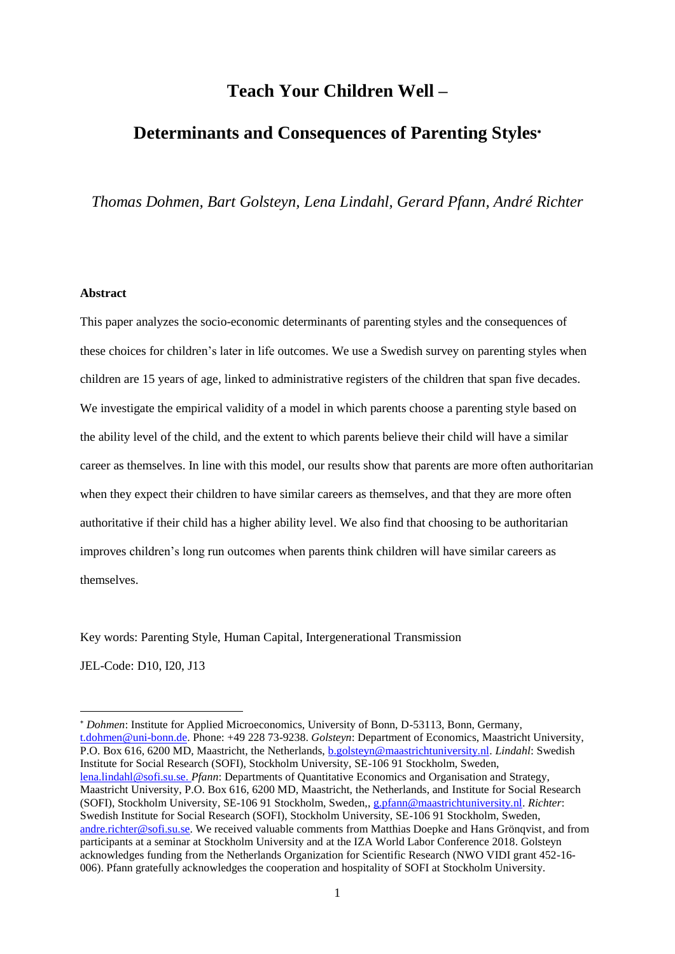## **Teach Your Children Well –**

# **Determinants and Consequences of Parenting Styles**

*Thomas Dohmen, Bart Golsteyn, Lena Lindahl, Gerard Pfann, André Richter*

## **Abstract**

This paper analyzes the socio-economic determinants of parenting styles and the consequences of these choices for children's later in life outcomes. We use a Swedish survey on parenting styles when children are 15 years of age, linked to administrative registers of the children that span five decades. We investigate the empirical validity of a model in which parents choose a parenting style based on the ability level of the child, and the extent to which parents believe their child will have a similar career as themselves. In line with this model, our results show that parents are more often authoritarian when they expect their children to have similar careers as themselves, and that they are more often authoritative if their child has a higher ability level. We also find that choosing to be authoritarian improves children's long run outcomes when parents think children will have similar careers as themselves.

Key words: Parenting Style, Human Capital, Intergenerational Transmission

JEL-Code: D10, I20, J13

 $\overline{a}$ 

*Dohmen*: Institute for Applied Microeconomics, University of Bonn, D-53113, Bonn, Germany, [t.dohmen@uni-bonn.de.](mailto:t.dohmen@uni-bonn.de) Phone: +49 228 73-9238. *Golsteyn*: Department of Economics, Maastricht University, P.O. Box 616, 6200 MD, Maastricht, the Netherlands, [b.golsteyn@maastrichtuniversity.nl.](mailto:b.golsteyn@maastrichtuniversity.nl) *Lindahl*: Swedish Institute for Social Research (SOFI), Stockholm University, SE-106 91 Stockholm, Sweden, [lena.lindahl@sofi.su.se.](mailto:andre.richter@sofi.su.se) *Pfann*: Departments of Quantitative Economics and Organisation and Strategy, Maastricht University, P.O. Box 616, 6200 MD, Maastricht, the Netherlands, and Institute for Social Research (SOFI), Stockholm University, SE-106 91 Stockholm, Sweden,[, g.pfann@maastrichtuniversity.nl.](mailto:g.pfann@maastrichtuniversity.nl) *Richter*: Swedish Institute for Social Research (SOFI), Stockholm University, SE-106 91 Stockholm, Sweden, [andre.richter@sofi.su.se.](mailto:andre.richter@sofi.su.se) We received valuable comments from Matthias Doepke and Hans Grönqvist, and from participants at a seminar at Stockholm University and at the IZA World Labor Conference 2018. Golsteyn acknowledges funding from the Netherlands Organization for Scientific Research (NWO VIDI grant 452-16- 006). Pfann gratefully acknowledges the cooperation and hospitality of SOFI at Stockholm University.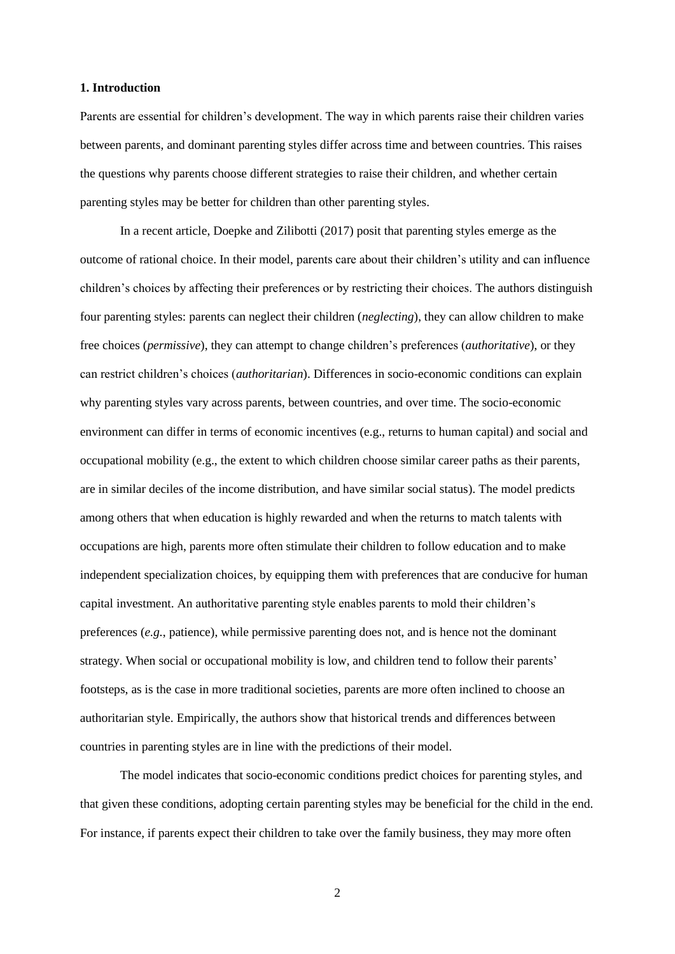## **1. Introduction**

Parents are essential for children's development. The way in which parents raise their children varies between parents, and dominant parenting styles differ across time and between countries. This raises the questions why parents choose different strategies to raise their children, and whether certain parenting styles may be better for children than other parenting styles.

In a recent article, Doepke and Zilibotti (2017) posit that parenting styles emerge as the outcome of rational choice. In their model, parents care about their children's utility and can influence children's choices by affecting their preferences or by restricting their choices. The authors distinguish four parenting styles: parents can neglect their children (*neglecting*), they can allow children to make free choices (*permissive*), they can attempt to change children's preferences (*authoritative*), or they can restrict children's choices (*authoritarian*). Differences in socio-economic conditions can explain why parenting styles vary across parents, between countries, and over time. The socio-economic environment can differ in terms of economic incentives (e.g., returns to human capital) and social and occupational mobility (e.g., the extent to which children choose similar career paths as their parents, are in similar deciles of the income distribution, and have similar social status). The model predicts among others that when education is highly rewarded and when the returns to match talents with occupations are high, parents more often stimulate their children to follow education and to make independent specialization choices, by equipping them with preferences that are conducive for human capital investment. An authoritative parenting style enables parents to mold their children's preferences (*e.g.*, patience), while permissive parenting does not, and is hence not the dominant strategy. When social or occupational mobility is low, and children tend to follow their parents' footsteps, as is the case in more traditional societies, parents are more often inclined to choose an authoritarian style. Empirically, the authors show that historical trends and differences between countries in parenting styles are in line with the predictions of their model.

The model indicates that socio-economic conditions predict choices for parenting styles, and that given these conditions, adopting certain parenting styles may be beneficial for the child in the end. For instance, if parents expect their children to take over the family business, they may more often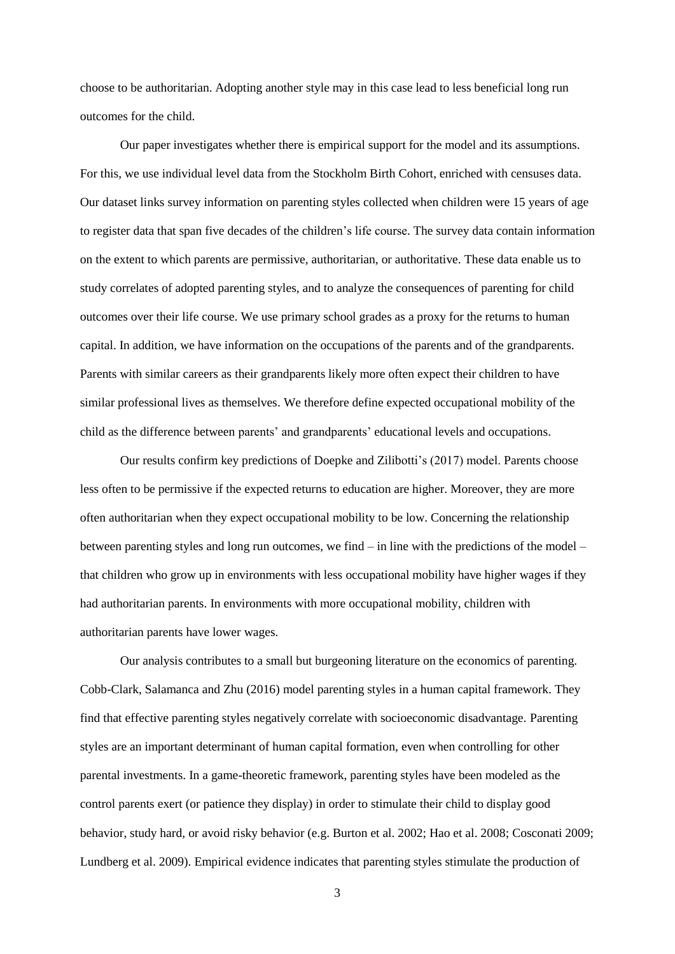choose to be authoritarian. Adopting another style may in this case lead to less beneficial long run outcomes for the child.

Our paper investigates whether there is empirical support for the model and its assumptions. For this, we use individual level data from the Stockholm Birth Cohort, enriched with censuses data. Our dataset links survey information on parenting styles collected when children were 15 years of age to register data that span five decades of the children's life course. The survey data contain information on the extent to which parents are permissive, authoritarian, or authoritative. These data enable us to study correlates of adopted parenting styles, and to analyze the consequences of parenting for child outcomes over their life course. We use primary school grades as a proxy for the returns to human capital. In addition, we have information on the occupations of the parents and of the grandparents. Parents with similar careers as their grandparents likely more often expect their children to have similar professional lives as themselves. We therefore define expected occupational mobility of the child as the difference between parents' and grandparents' educational levels and occupations.

Our results confirm key predictions of Doepke and Zilibotti's (2017) model. Parents choose less often to be permissive if the expected returns to education are higher. Moreover, they are more often authoritarian when they expect occupational mobility to be low. Concerning the relationship between parenting styles and long run outcomes, we find – in line with the predictions of the model – that children who grow up in environments with less occupational mobility have higher wages if they had authoritarian parents. In environments with more occupational mobility, children with authoritarian parents have lower wages.

Our analysis contributes to a small but burgeoning literature on the economics of parenting. Cobb-Clark, Salamanca and Zhu (2016) model parenting styles in a human capital framework. They find that effective parenting styles negatively correlate with socioeconomic disadvantage. Parenting styles are an important determinant of human capital formation, even when controlling for other parental investments. In a game-theoretic framework, parenting styles have been modeled as the control parents exert (or patience they display) in order to stimulate their child to display good behavior, study hard, or avoid risky behavior (e.g. Burton et al. 2002; Hao et al. 2008; Cosconati 2009; Lundberg et al. 2009). Empirical evidence indicates that parenting styles stimulate the production of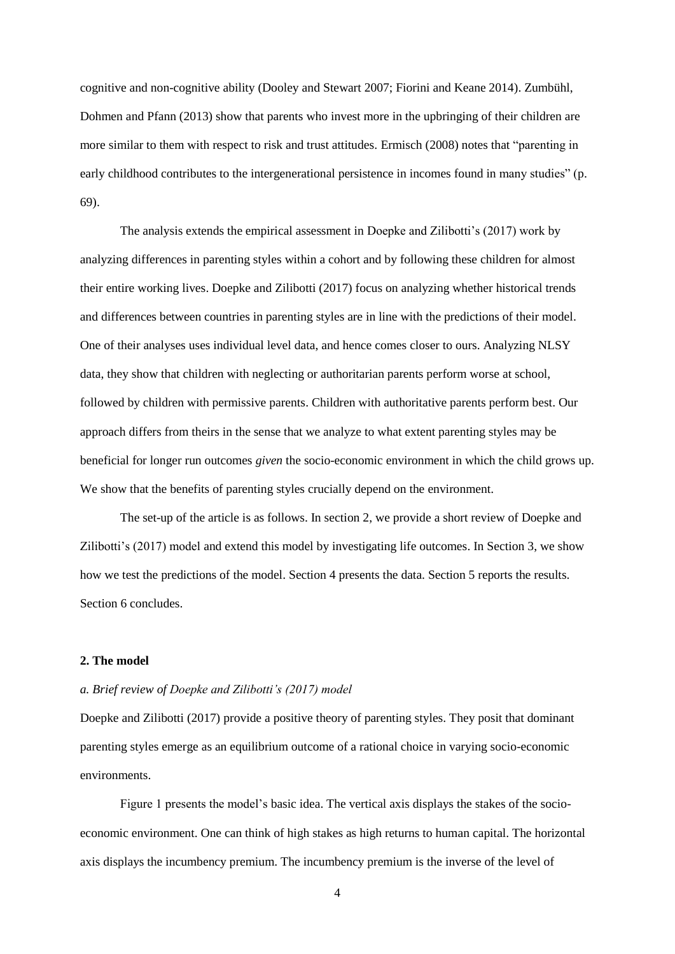cognitive and non-cognitive ability (Dooley and Stewart 2007; Fiorini and Keane 2014). Zumbühl, Dohmen and Pfann (2013) show that parents who invest more in the upbringing of their children are more similar to them with respect to risk and trust attitudes. Ermisch (2008) notes that "parenting in early childhood contributes to the intergenerational persistence in incomes found in many studies" (p. 69).

The analysis extends the empirical assessment in Doepke and Zilibotti's (2017) work by analyzing differences in parenting styles within a cohort and by following these children for almost their entire working lives. Doepke and Zilibotti (2017) focus on analyzing whether historical trends and differences between countries in parenting styles are in line with the predictions of their model. One of their analyses uses individual level data, and hence comes closer to ours. Analyzing NLSY data, they show that children with neglecting or authoritarian parents perform worse at school, followed by children with permissive parents. Children with authoritative parents perform best. Our approach differs from theirs in the sense that we analyze to what extent parenting styles may be beneficial for longer run outcomes *given* the socio-economic environment in which the child grows up. We show that the benefits of parenting styles crucially depend on the environment.

The set-up of the article is as follows. In section 2, we provide a short review of Doepke and Zilibotti's (2017) model and extend this model by investigating life outcomes. In Section 3, we show how we test the predictions of the model. Section 4 presents the data. Section 5 reports the results. Section 6 concludes.

## **2. The model**

## *a. Brief review of Doepke and Zilibotti's (2017) model*

Doepke and Zilibotti (2017) provide a positive theory of parenting styles. They posit that dominant parenting styles emerge as an equilibrium outcome of a rational choice in varying socio-economic environments.

Figure 1 presents the model's basic idea. The vertical axis displays the stakes of the socioeconomic environment. One can think of high stakes as high returns to human capital. The horizontal axis displays the incumbency premium. The incumbency premium is the inverse of the level of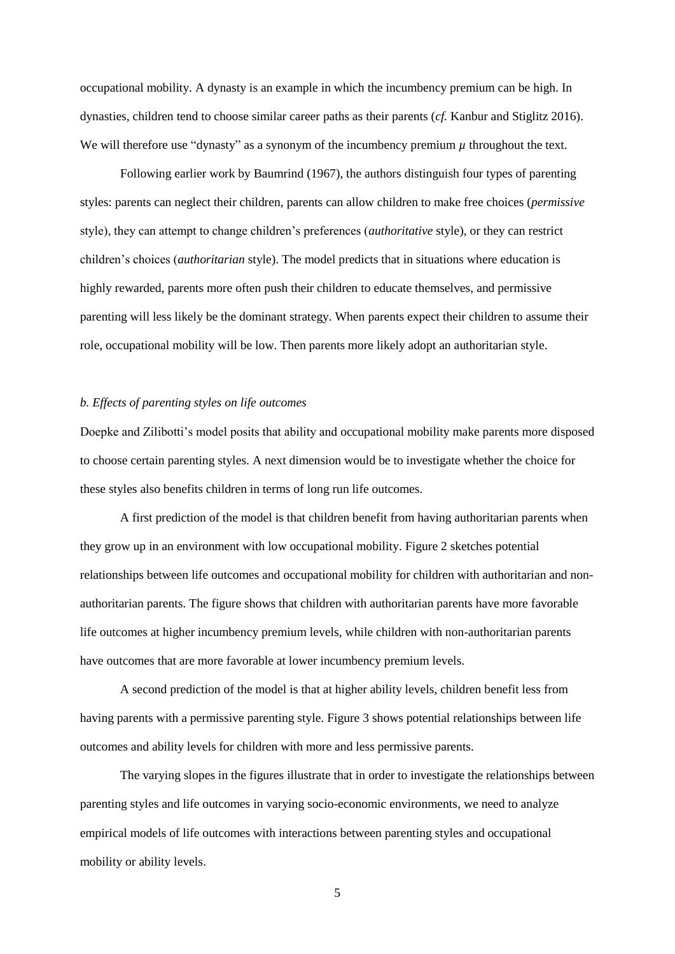occupational mobility. A dynasty is an example in which the incumbency premium can be high. In dynasties, children tend to choose similar career paths as their parents (*cf.* Kanbur and Stiglitz 2016). We will therefore use "dynasty" as a synonym of the incumbency premium  $\mu$  throughout the text.

Following earlier work by Baumrind (1967), the authors distinguish four types of parenting styles: parents can neglect their children, parents can allow children to make free choices (*permissive* style), they can attempt to change children's preferences (*authoritative* style), or they can restrict children's choices (*authoritarian* style). The model predicts that in situations where education is highly rewarded, parents more often push their children to educate themselves, and permissive parenting will less likely be the dominant strategy. When parents expect their children to assume their role, occupational mobility will be low. Then parents more likely adopt an authoritarian style.

#### *b. Effects of parenting styles on life outcomes*

Doepke and Zilibotti's model posits that ability and occupational mobility make parents more disposed to choose certain parenting styles. A next dimension would be to investigate whether the choice for these styles also benefits children in terms of long run life outcomes.

A first prediction of the model is that children benefit from having authoritarian parents when they grow up in an environment with low occupational mobility. Figure 2 sketches potential relationships between life outcomes and occupational mobility for children with authoritarian and nonauthoritarian parents. The figure shows that children with authoritarian parents have more favorable life outcomes at higher incumbency premium levels, while children with non-authoritarian parents have outcomes that are more favorable at lower incumbency premium levels.

A second prediction of the model is that at higher ability levels, children benefit less from having parents with a permissive parenting style. Figure 3 shows potential relationships between life outcomes and ability levels for children with more and less permissive parents.

The varying slopes in the figures illustrate that in order to investigate the relationships between parenting styles and life outcomes in varying socio-economic environments, we need to analyze empirical models of life outcomes with interactions between parenting styles and occupational mobility or ability levels.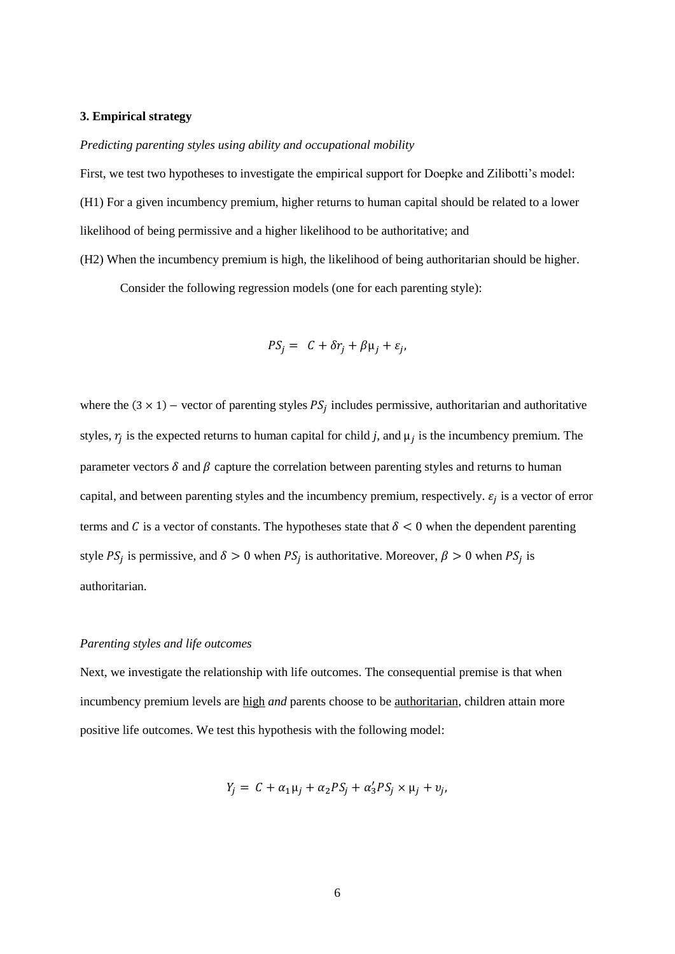#### **3. Empirical strategy**

*Predicting parenting styles using ability and occupational mobility*

First, we test two hypotheses to investigate the empirical support for Doepke and Zilibotti's model: (H1) For a given incumbency premium, higher returns to human capital should be related to a lower likelihood of being permissive and a higher likelihood to be authoritative; and

(H2) When the incumbency premium is high, the likelihood of being authoritarian should be higher.

Consider the following regression models (one for each parenting style):

$$
PS_j = C + \delta r_j + \beta \mu_j + \varepsilon_j,
$$

where the  $(3 \times 1)$  – vector of parenting styles  $PS_j$  includes permissive, authoritarian and authoritative styles,  $r_j$  is the expected returns to human capital for child *j*, and  $\mu_j$  is the incumbency premium. The parameter vectors  $\delta$  and  $\beta$  capture the correlation between parenting styles and returns to human capital, and between parenting styles and the incumbency premium, respectively.  $\varepsilon_j$  is a vector of error terms and C is a vector of constants. The hypotheses state that  $\delta$  < 0 when the dependent parenting style  $PS_j$  is permissive, and  $\delta > 0$  when  $PS_j$  is authoritative. Moreover,  $\beta > 0$  when  $PS_j$  is authoritarian.

## *Parenting styles and life outcomes*

Next, we investigate the relationship with life outcomes. The consequential premise is that when incumbency premium levels are high *and* parents choose to be authoritarian, children attain more positive life outcomes. We test this hypothesis with the following model:

$$
Y_j = C + \alpha_1 \mu_j + \alpha_2 PS_j + \alpha_3' PS_j \times \mu_j + \nu_j,
$$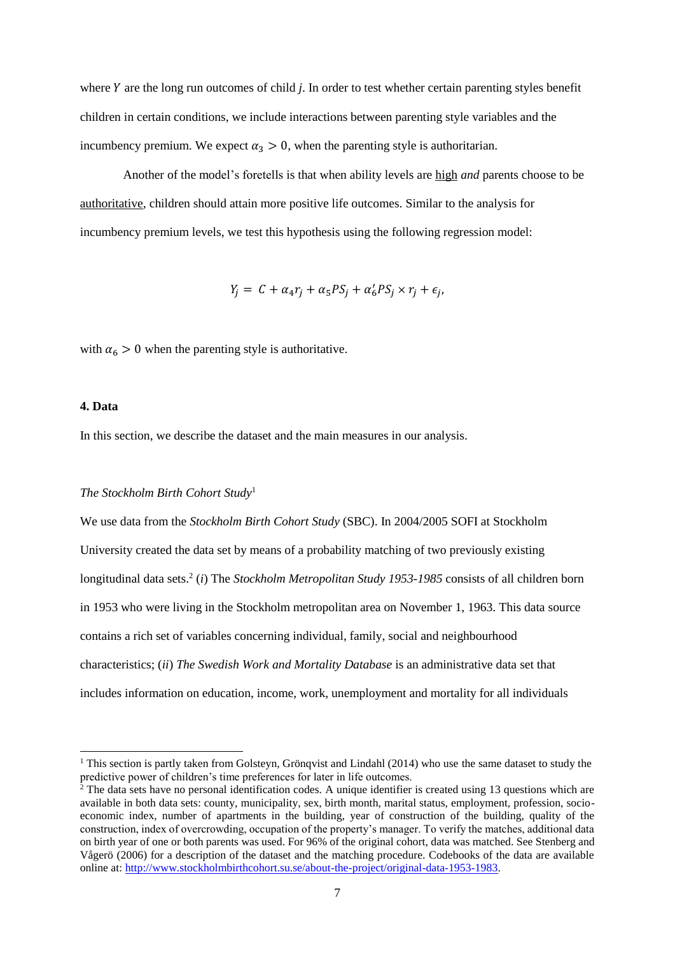where  $Y$  are the long run outcomes of child  $j$ . In order to test whether certain parenting styles benefit children in certain conditions, we include interactions between parenting style variables and the incumbency premium. We expect  $\alpha_3 > 0$ , when the parenting style is authoritarian.

Another of the model's foretells is that when ability levels are high *and* parents choose to be authoritative, children should attain more positive life outcomes. Similar to the analysis for incumbency premium levels, we test this hypothesis using the following regression model:

$$
Y_j = C + \alpha_4 r_j + \alpha_5 PS_j + \alpha'_6 PS_j \times r_j + \epsilon_j,
$$

with  $\alpha_6 > 0$  when the parenting style is authoritative.

## **4. Data**

 $\overline{a}$ 

In this section, we describe the dataset and the main measures in our analysis.

#### *The Stockholm Birth Cohort Study*<sup>1</sup>

We use data from the *Stockholm Birth Cohort Study* (SBC). In 2004/2005 SOFI at Stockholm University created the data set by means of a probability matching of two previously existing longitudinal data sets.<sup>2</sup> (*i*) The *Stockholm Metropolitan Study 1953-1985* consists of all children born in 1953 who were living in the Stockholm metropolitan area on November 1, 1963. This data source contains a rich set of variables concerning individual, family, social and neighbourhood characteristics; (*ii*) *The Swedish Work and Mortality Database* is an administrative data set that includes information on education, income, work, unemployment and mortality for all individuals

<sup>&</sup>lt;sup>1</sup> This section is partly taken from Golsteyn, Grönqvist and Lindahl (2014) who use the same dataset to study the predictive power of children's time preferences for later in life outcomes.

<sup>2</sup> The data sets have no personal identification codes. A unique identifier is created using 13 questions which are available in both data sets: county, municipality, sex, birth month, marital status, employment, profession, socioeconomic index, number of apartments in the building, year of construction of the building, quality of the construction, index of overcrowding, occupation of the property's manager. To verify the matches, additional data on birth year of one or both parents was used. For 96% of the original cohort, data was matched. See Stenberg and Vågerö (2006) for a description of the dataset and the matching procedure. Codebooks of the data are available online at: [http://www.stockholmbirthcohort.su.se/about-the-project/original-data-1953-1983.](http://www.stockholmbirthcohort.su.se/about-the-project/original-data-1953-1983)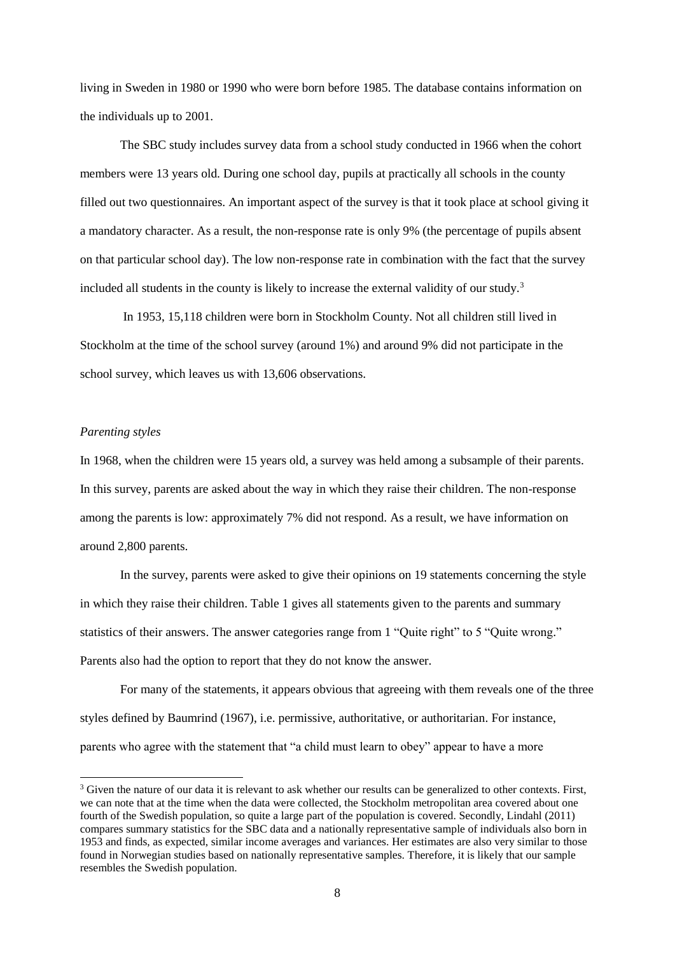living in Sweden in 1980 or 1990 who were born before 1985. The database contains information on the individuals up to 2001.

The SBC study includes survey data from a school study conducted in 1966 when the cohort members were 13 years old. During one school day, pupils at practically all schools in the county filled out two questionnaires. An important aspect of the survey is that it took place at school giving it a mandatory character. As a result, the non-response rate is only 9% (the percentage of pupils absent on that particular school day). The low non-response rate in combination with the fact that the survey included all students in the county is likely to increase the external validity of our study.<sup>3</sup>

In 1953, 15,118 children were born in Stockholm County. Not all children still lived in Stockholm at the time of the school survey (around 1%) and around 9% did not participate in the school survey, which leaves us with 13,606 observations.

#### *Parenting styles*

l

In 1968, when the children were 15 years old, a survey was held among a subsample of their parents. In this survey, parents are asked about the way in which they raise their children. The non-response among the parents is low: approximately 7% did not respond. As a result, we have information on around 2,800 parents.

In the survey, parents were asked to give their opinions on 19 statements concerning the style in which they raise their children. Table 1 gives all statements given to the parents and summary statistics of their answers. The answer categories range from 1 "Quite right" to 5 "Quite wrong." Parents also had the option to report that they do not know the answer.

For many of the statements, it appears obvious that agreeing with them reveals one of the three styles defined by Baumrind (1967), i.e. permissive, authoritative, or authoritarian. For instance, parents who agree with the statement that "a child must learn to obey" appear to have a more

<sup>&</sup>lt;sup>3</sup> Given the nature of our data it is relevant to ask whether our results can be generalized to other contexts. First, we can note that at the time when the data were collected, the Stockholm metropolitan area covered about one fourth of the Swedish population, so quite a large part of the population is covered. Secondly, Lindahl (2011) compares summary statistics for the SBC data and a nationally representative sample of individuals also born in 1953 and finds, as expected, similar income averages and variances. Her estimates are also very similar to those found in Norwegian studies based on nationally representative samples. Therefore, it is likely that our sample resembles the Swedish population.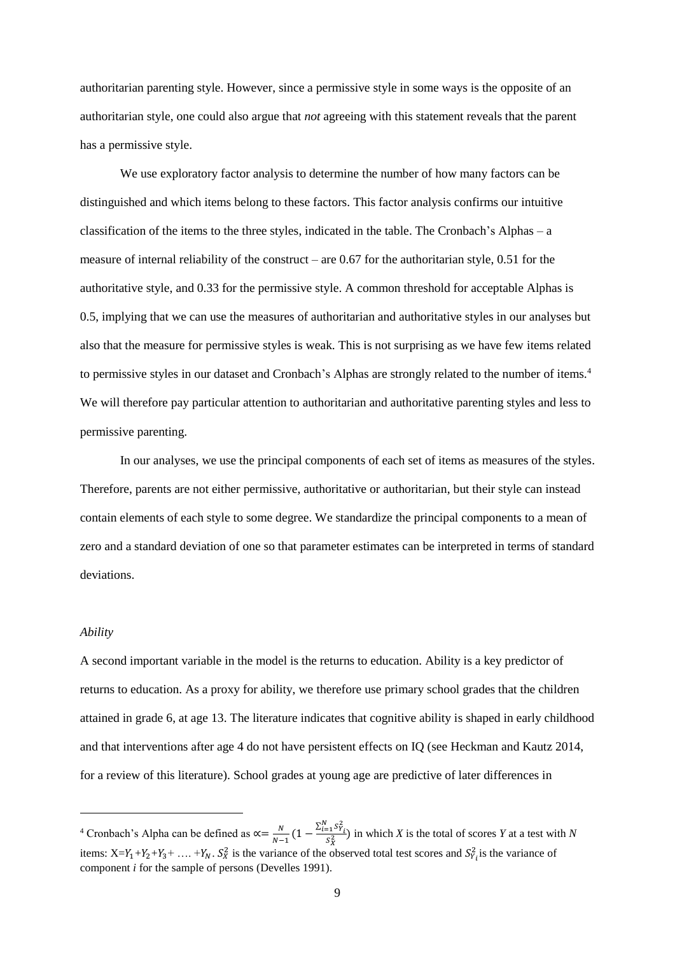authoritarian parenting style. However, since a permissive style in some ways is the opposite of an authoritarian style, one could also argue that *not* agreeing with this statement reveals that the parent has a permissive style.

We use exploratory factor analysis to determine the number of how many factors can be distinguished and which items belong to these factors. This factor analysis confirms our intuitive classification of the items to the three styles, indicated in the table. The Cronbach's Alphas – a measure of internal reliability of the construct – are 0.67 for the authoritarian style, 0.51 for the authoritative style, and 0.33 for the permissive style. A common threshold for acceptable Alphas is 0.5, implying that we can use the measures of authoritarian and authoritative styles in our analyses but also that the measure for permissive styles is weak. This is not surprising as we have few items related to permissive styles in our dataset and Cronbach's Alphas are strongly related to the number of items.<sup>4</sup> We will therefore pay particular attention to authoritarian and authoritative parenting styles and less to permissive parenting.

In our analyses, we use the principal components of each set of items as measures of the styles. Therefore, parents are not either permissive, authoritative or authoritarian, but their style can instead contain elements of each style to some degree. We standardize the principal components to a mean of zero and a standard deviation of one so that parameter estimates can be interpreted in terms of standard deviations.

#### *Ability*

 $\overline{a}$ 

A second important variable in the model is the returns to education. Ability is a key predictor of returns to education. As a proxy for ability, we therefore use primary school grades that the children attained in grade 6, at age 13. The literature indicates that cognitive ability is shaped in early childhood and that interventions after age 4 do not have persistent effects on IQ (see Heckman and Kautz 2014, for a review of this literature). School grades at young age are predictive of later differences in

<sup>&</sup>lt;sup>4</sup> Cronbach's Alpha can be defined as  $\propto = \frac{N}{N}$  $\frac{N}{N-1}(1-\frac{\sum_{i=1}^{N} S_{Y_i}^2}{S_X^2})$  $\frac{Z_1 - Y_1}{S_X^2}$  in which *X* is the total of scores *Y* at a test with *N* items:  $X=Y_1+Y_2+Y_3+\ldots+Y_N$ .  $S_X^2$  is the variance of the observed total test scores and  $S_{Y_i}^2$  is the variance of component *i* for the sample of persons (Develles 1991).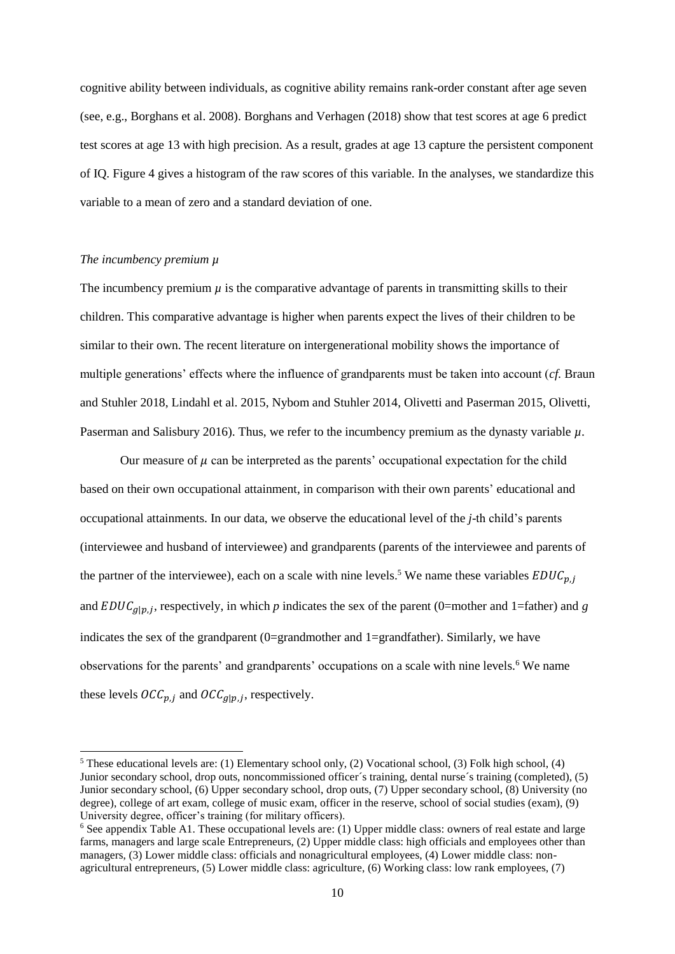cognitive ability between individuals, as cognitive ability remains rank-order constant after age seven (see, e.g., Borghans et al. 2008). Borghans and Verhagen (2018) show that test scores at age 6 predict test scores at age 13 with high precision. As a result, grades at age 13 capture the persistent component of IQ. Figure 4 gives a histogram of the raw scores of this variable. In the analyses, we standardize this variable to a mean of zero and a standard deviation of one.

#### *The incumbency premium µ*

 $\overline{a}$ 

The incumbency premium  $\mu$  is the comparative advantage of parents in transmitting skills to their children. This comparative advantage is higher when parents expect the lives of their children to be similar to their own. The recent literature on intergenerational mobility shows the importance of multiple generations' effects where the influence of grandparents must be taken into account (*cf.* Braun and Stuhler 2018, Lindahl et al. 2015, Nybom and Stuhler 2014, Olivetti and Paserman 2015, Olivetti, Paserman and Salisbury 2016). Thus, we refer to the incumbency premium as the dynasty variable *µ*.

Our measure of  $\mu$  can be interpreted as the parents' occupational expectation for the child based on their own occupational attainment, in comparison with their own parents' educational and occupational attainments. In our data, we observe the educational level of the *j*-th child's parents (interviewee and husband of interviewee) and grandparents (parents of the interviewee and parents of the partner of the interviewee), each on a scale with nine levels.<sup>5</sup> We name these variables  $EDUC_{p,j}$ and  $EDUC_{g|p,j}$ , respectively, in which *p* indicates the sex of the parent (0=mother and 1=father) and *g* indicates the sex of the grandparent (0=grandmother and 1=grandfather). Similarly, we have observations for the parents' and grandparents' occupations on a scale with nine levels.<sup>6</sup> We name these levels  $\mathit{OCC}_{p,j}$  and  $\mathit{OCC}_{g|p,j}$ , respectively.

<sup>5</sup> These educational levels are: (1) Elementary school only, (2) Vocational school, (3) Folk high school, (4) Junior secondary school, drop outs, noncommissioned officer´s training, dental nurse´s training (completed), (5) Junior secondary school, (6) Upper secondary school, drop outs, (7) Upper secondary school, (8) University (no degree), college of art exam, college of music exam, officer in the reserve, school of social studies (exam), (9) University degree, officer's training (for military officers).

 $6$  See appendix Table A1. These occupational levels are: (1) Upper middle class: owners of real estate and large farms, managers and large scale Entrepreneurs, (2) Upper middle class: high officials and employees other than managers, (3) Lower middle class: officials and nonagricultural employees, (4) Lower middle class: nonagricultural entrepreneurs, (5) Lower middle class: agriculture, (6) Working class: low rank employees, (7)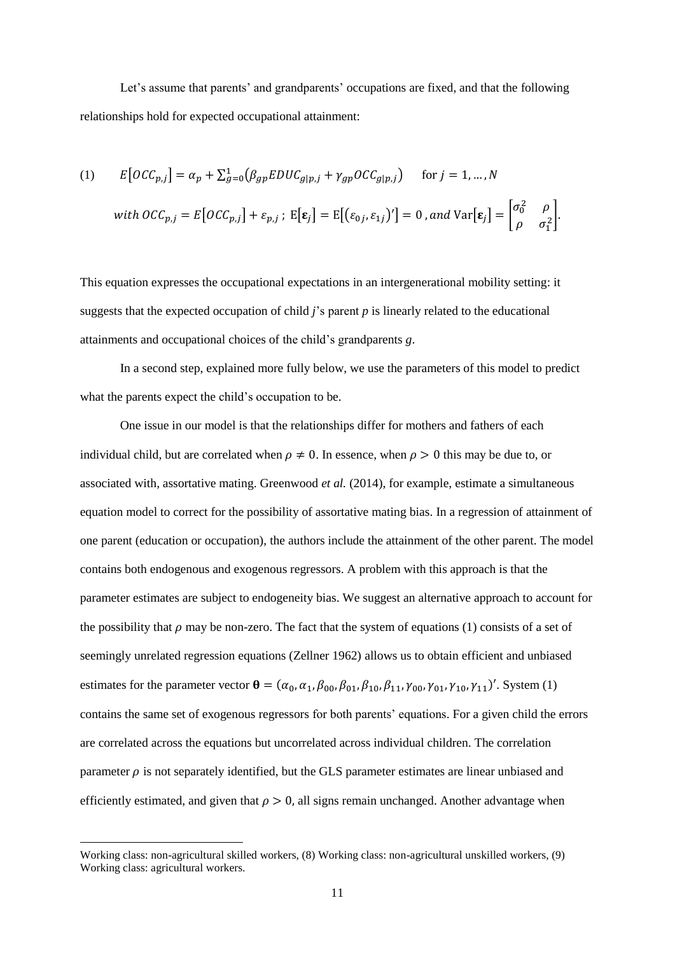Let's assume that parents' and grandparents' occupations are fixed, and that the following relationships hold for expected occupational attainment:

(1) 
$$
E[OCC_{p,j}] = \alpha_p + \sum_{g=0}^{1} (\beta_{gp} EDUC_{g|p,j} + \gamma_{gp} OCC_{g|p,j}) \quad \text{for } j = 1, ..., N
$$
  
with 
$$
OCC_{p,j} = E[OCC_{p,j}] + \varepsilon_{p,j}; E[\varepsilon_j] = E[(\varepsilon_{0j}, \varepsilon_{1j})'] = 0 \text{, and } Var[\varepsilon_j] = \begin{bmatrix} \sigma_0^2 & \rho \\ \rho & \sigma_1^2 \end{bmatrix}.
$$

This equation expresses the occupational expectations in an intergenerational mobility setting: it suggests that the expected occupation of child  $\hat{j}$ 's parent  $\hat{p}$  is linearly related to the educational attainments and occupational choices of the child's grandparents *g*.

In a second step, explained more fully below, we use the parameters of this model to predict what the parents expect the child's occupation to be.

One issue in our model is that the relationships differ for mothers and fathers of each individual child, but are correlated when  $\rho \neq 0$ . In essence, when  $\rho > 0$  this may be due to, or associated with, assortative mating. Greenwood *et al.* (2014), for example, estimate a simultaneous equation model to correct for the possibility of assortative mating bias. In a regression of attainment of one parent (education or occupation), the authors include the attainment of the other parent. The model contains both endogenous and exogenous regressors. A problem with this approach is that the parameter estimates are subject to endogeneity bias. We suggest an alternative approach to account for the possibility that  $\rho$  may be non-zero. The fact that the system of equations (1) consists of a set of seemingly unrelated regression equations (Zellner 1962) allows us to obtain efficient and unbiased estimates for the parameter vector  $\mathbf{\theta} = (\alpha_0, \alpha_1, \beta_{00}, \beta_{01}, \beta_{10}, \beta_{11}, \gamma_{00}, \gamma_{01}, \gamma_{10}, \gamma_{11})'$ . System (1) contains the same set of exogenous regressors for both parents' equations. For a given child the errors are correlated across the equations but uncorrelated across individual children. The correlation parameter  $\rho$  is not separately identified, but the GLS parameter estimates are linear unbiased and efficiently estimated, and given that  $\rho > 0$ , all signs remain unchanged. Another advantage when

l

Working class: non-agricultural skilled workers, (8) Working class: non-agricultural unskilled workers, (9) Working class: agricultural workers.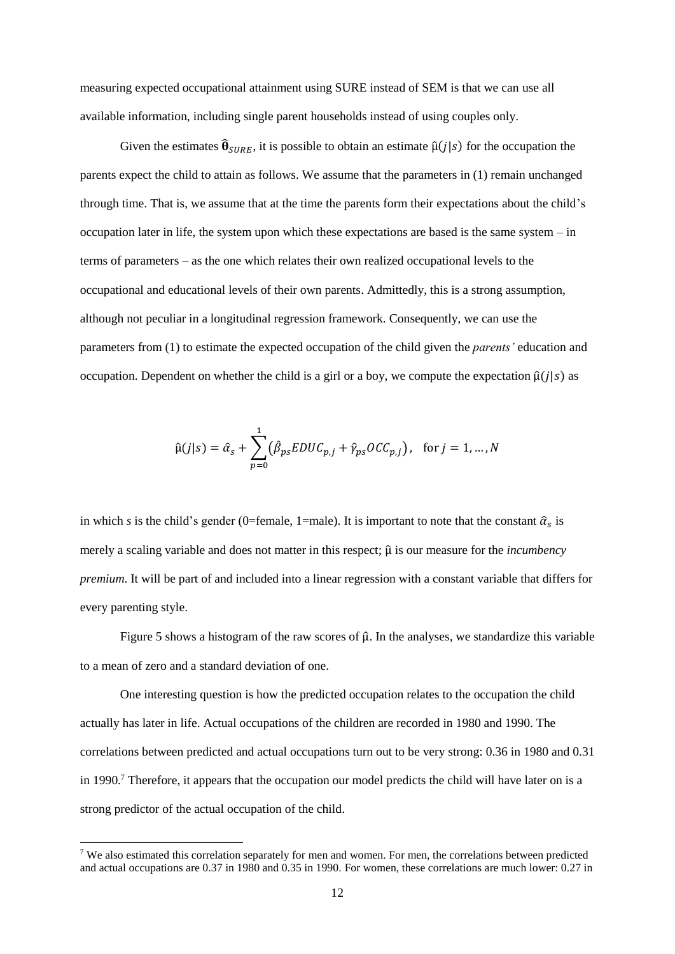measuring expected occupational attainment using SURE instead of SEM is that we can use all available information, including single parent households instead of using couples only.

Given the estimates  $\hat{\theta}_{SIRE}$ , it is possible to obtain an estimate  $\hat{\mu}(j|s)$  for the occupation the parents expect the child to attain as follows. We assume that the parameters in (1) remain unchanged through time. That is, we assume that at the time the parents form their expectations about the child's occupation later in life, the system upon which these expectations are based is the same system – in terms of parameters – as the one which relates their own realized occupational levels to the occupational and educational levels of their own parents. Admittedly, this is a strong assumption, although not peculiar in a longitudinal regression framework. Consequently, we can use the parameters from (1) to estimate the expected occupation of the child given the *parents'* education and occupation. Dependent on whether the child is a girl or a boy, we compute the expectation  $\hat{\mu}(j|s)$  as

$$
\hat{\mu}(j|s) = \hat{\alpha}_s + \sum_{p=0}^{1} (\hat{\beta}_{ps} EDUC_{p,j} + \hat{\gamma}_{ps} OCC_{p,j}), \text{ for } j = 1, ..., N
$$

in which *s* is the child's gender (0=female, 1=male). It is important to note that the constant  $\hat{\alpha}_s$  is merely a scaling variable and does not matter in this respect; μ̂ is our measure for the *incumbency premium*. It will be part of and included into a linear regression with a constant variable that differs for every parenting style.

Figure 5 shows a histogram of the raw scores of  $\hat{\mu}$ . In the analyses, we standardize this variable to a mean of zero and a standard deviation of one.

One interesting question is how the predicted occupation relates to the occupation the child actually has later in life. Actual occupations of the children are recorded in 1980 and 1990. The correlations between predicted and actual occupations turn out to be very strong: 0.36 in 1980 and 0.31 in 1990.<sup>7</sup> Therefore, it appears that the occupation our model predicts the child will have later on is a strong predictor of the actual occupation of the child.

l

<sup>&</sup>lt;sup>7</sup> We also estimated this correlation separately for men and women. For men, the correlations between predicted and actual occupations are 0.37 in 1980 and 0.35 in 1990. For women, these correlations are much lower: 0.27 in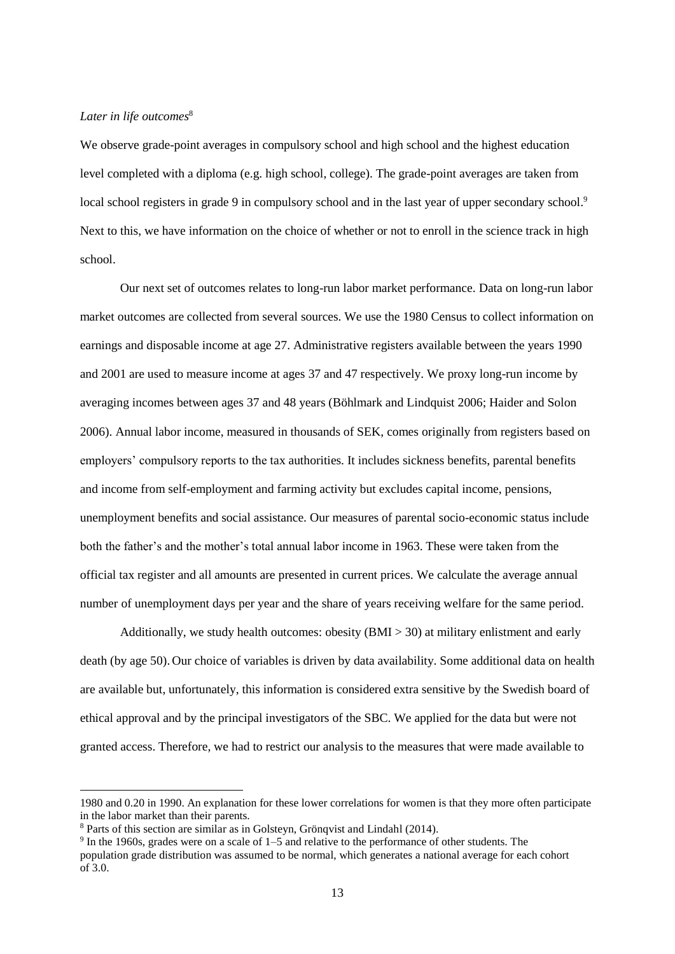## Later in life outcomes<sup>8</sup>

We observe grade-point averages in compulsory school and high school and the highest education level completed with a diploma (e.g. high school, college). The grade-point averages are taken from local school registers in grade 9 in compulsory school and in the last year of upper secondary school.<sup>9</sup> Next to this, we have information on the choice of whether or not to enroll in the science track in high school.

Our next set of outcomes relates to long-run labor market performance. Data on long-run labor market outcomes are collected from several sources. We use the 1980 Census to collect information on earnings and disposable income at age 27. Administrative registers available between the years 1990 and 2001 are used to measure income at ages 37 and 47 respectively. We proxy long-run income by averaging incomes between ages 37 and 48 years (Böhlmark and Lindquist 2006; Haider and Solon 2006). Annual labor income, measured in thousands of SEK, comes originally from registers based on employers' compulsory reports to the tax authorities. It includes sickness benefits, parental benefits and income from self-employment and farming activity but excludes capital income, pensions, unemployment benefits and social assistance. Our measures of parental socio-economic status include both the father's and the mother's total annual labor income in 1963. These were taken from the official tax register and all amounts are presented in current prices. We calculate the average annual number of unemployment days per year and the share of years receiving welfare for the same period.

Additionally, we study health outcomes: obesity (BMI > 30) at military enlistment and early death (by age 50). Our choice of variables is driven by data availability. Some additional data on health are available but, unfortunately, this information is considered extra sensitive by the Swedish board of ethical approval and by the principal investigators of the SBC. We applied for the data but were not granted access. Therefore, we had to restrict our analysis to the measures that were made available to

 $\overline{a}$ 

<sup>1980</sup> and 0.20 in 1990. An explanation for these lower correlations for women is that they more often participate in the labor market than their parents.

<sup>8</sup> Parts of this section are similar as in Golsteyn, Grönqvist and Lindahl (2014).

<sup>&</sup>lt;sup>9</sup> In the 1960s, grades were on a scale of 1–5 and relative to the performance of other students. The population grade distribution was assumed to be normal, which generates a national average for each cohort of 3.0.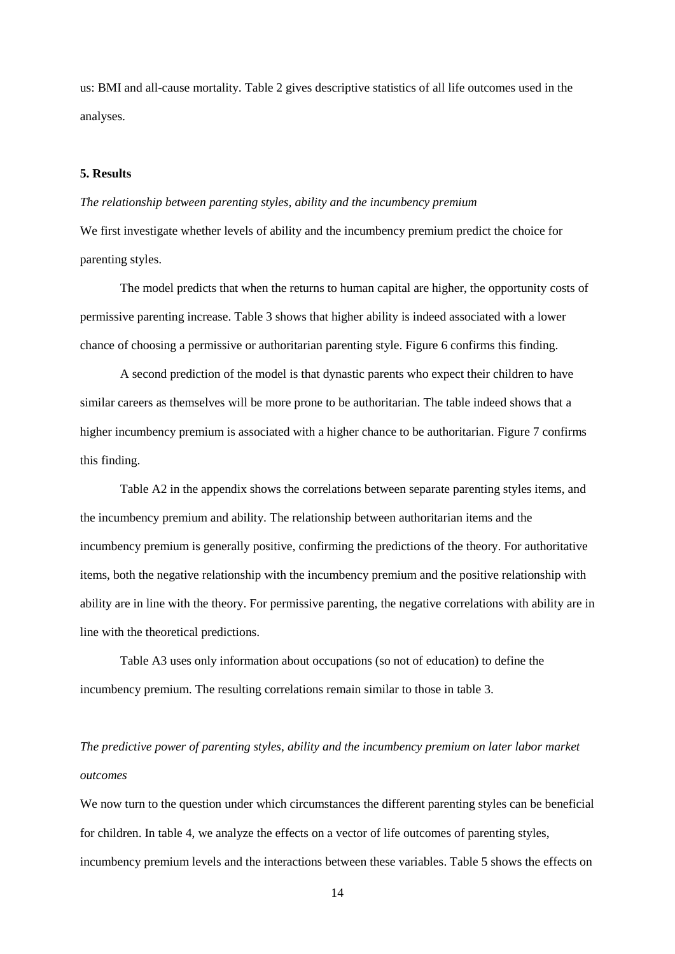us: BMI and all-cause mortality. Table 2 gives descriptive statistics of all life outcomes used in the analyses.

## **5. Results**

#### *The relationship between parenting styles, ability and the incumbency premium*

We first investigate whether levels of ability and the incumbency premium predict the choice for parenting styles.

The model predicts that when the returns to human capital are higher, the opportunity costs of permissive parenting increase. Table 3 shows that higher ability is indeed associated with a lower chance of choosing a permissive or authoritarian parenting style. Figure 6 confirms this finding.

A second prediction of the model is that dynastic parents who expect their children to have similar careers as themselves will be more prone to be authoritarian. The table indeed shows that a higher incumbency premium is associated with a higher chance to be authoritarian. Figure 7 confirms this finding.

Table A2 in the appendix shows the correlations between separate parenting styles items, and the incumbency premium and ability. The relationship between authoritarian items and the incumbency premium is generally positive, confirming the predictions of the theory. For authoritative items, both the negative relationship with the incumbency premium and the positive relationship with ability are in line with the theory. For permissive parenting, the negative correlations with ability are in line with the theoretical predictions.

Table A3 uses only information about occupations (so not of education) to define the incumbency premium. The resulting correlations remain similar to those in table 3.

# *The predictive power of parenting styles, ability and the incumbency premium on later labor market outcomes*

We now turn to the question under which circumstances the different parenting styles can be beneficial for children. In table 4, we analyze the effects on a vector of life outcomes of parenting styles, incumbency premium levels and the interactions between these variables. Table 5 shows the effects on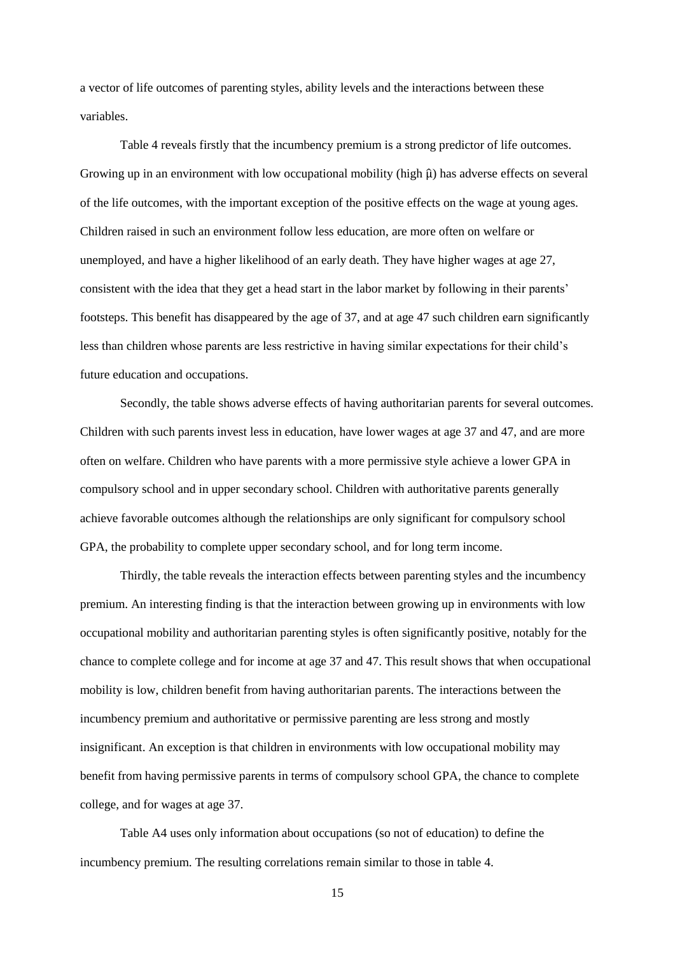a vector of life outcomes of parenting styles, ability levels and the interactions between these variables.

Table 4 reveals firstly that the incumbency premium is a strong predictor of life outcomes. Growing up in an environment with low occupational mobility (high  $\hat{\mu}$ ) has adverse effects on several of the life outcomes, with the important exception of the positive effects on the wage at young ages. Children raised in such an environment follow less education, are more often on welfare or unemployed, and have a higher likelihood of an early death. They have higher wages at age 27, consistent with the idea that they get a head start in the labor market by following in their parents' footsteps. This benefit has disappeared by the age of 37, and at age 47 such children earn significantly less than children whose parents are less restrictive in having similar expectations for their child's future education and occupations.

Secondly, the table shows adverse effects of having authoritarian parents for several outcomes. Children with such parents invest less in education, have lower wages at age 37 and 47, and are more often on welfare. Children who have parents with a more permissive style achieve a lower GPA in compulsory school and in upper secondary school. Children with authoritative parents generally achieve favorable outcomes although the relationships are only significant for compulsory school GPA, the probability to complete upper secondary school, and for long term income.

Thirdly, the table reveals the interaction effects between parenting styles and the incumbency premium. An interesting finding is that the interaction between growing up in environments with low occupational mobility and authoritarian parenting styles is often significantly positive, notably for the chance to complete college and for income at age 37 and 47. This result shows that when occupational mobility is low, children benefit from having authoritarian parents. The interactions between the incumbency premium and authoritative or permissive parenting are less strong and mostly insignificant. An exception is that children in environments with low occupational mobility may benefit from having permissive parents in terms of compulsory school GPA, the chance to complete college, and for wages at age 37.

Table A4 uses only information about occupations (so not of education) to define the incumbency premium. The resulting correlations remain similar to those in table 4.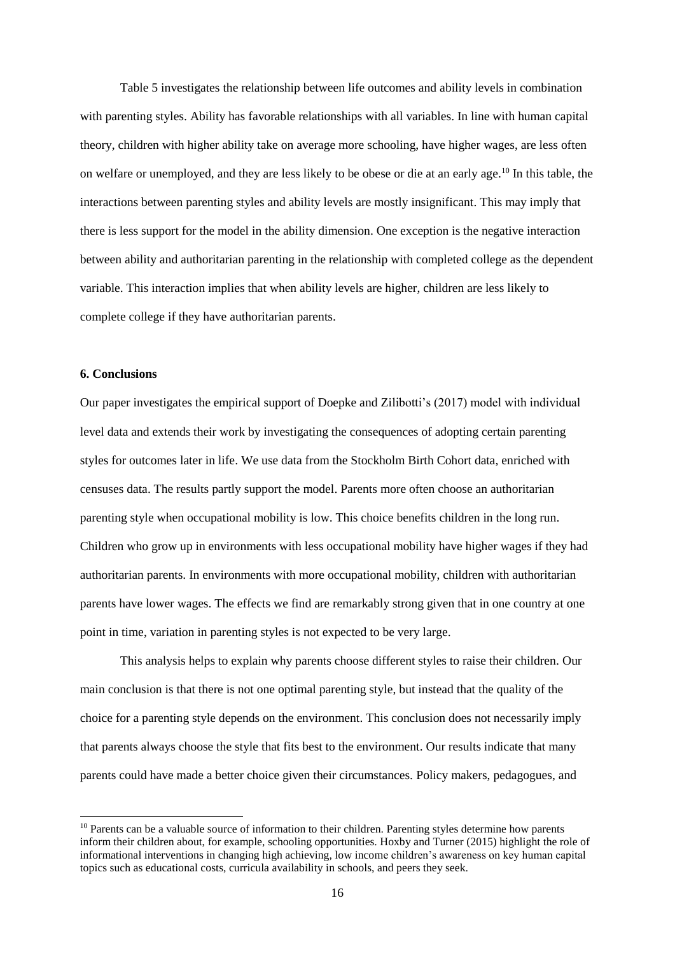Table 5 investigates the relationship between life outcomes and ability levels in combination with parenting styles. Ability has favorable relationships with all variables. In line with human capital theory, children with higher ability take on average more schooling, have higher wages, are less often on welfare or unemployed, and they are less likely to be obese or die at an early age.<sup>10</sup> In this table, the interactions between parenting styles and ability levels are mostly insignificant. This may imply that there is less support for the model in the ability dimension. One exception is the negative interaction between ability and authoritarian parenting in the relationship with completed college as the dependent variable. This interaction implies that when ability levels are higher, children are less likely to complete college if they have authoritarian parents.

## **6. Conclusions**

l

Our paper investigates the empirical support of Doepke and Zilibotti's (2017) model with individual level data and extends their work by investigating the consequences of adopting certain parenting styles for outcomes later in life. We use data from the Stockholm Birth Cohort data, enriched with censuses data. The results partly support the model. Parents more often choose an authoritarian parenting style when occupational mobility is low. This choice benefits children in the long run. Children who grow up in environments with less occupational mobility have higher wages if they had authoritarian parents. In environments with more occupational mobility, children with authoritarian parents have lower wages. The effects we find are remarkably strong given that in one country at one point in time, variation in parenting styles is not expected to be very large.

This analysis helps to explain why parents choose different styles to raise their children. Our main conclusion is that there is not one optimal parenting style, but instead that the quality of the choice for a parenting style depends on the environment. This conclusion does not necessarily imply that parents always choose the style that fits best to the environment. Our results indicate that many parents could have made a better choice given their circumstances. Policy makers, pedagogues, and

<sup>&</sup>lt;sup>10</sup> Parents can be a valuable source of information to their children. Parenting styles determine how parents inform their children about, for example, schooling opportunities. Hoxby and Turner (2015) highlight the role of informational interventions in changing high achieving, low income children's awareness on key human capital topics such as educational costs, curricula availability in schools, and peers they seek.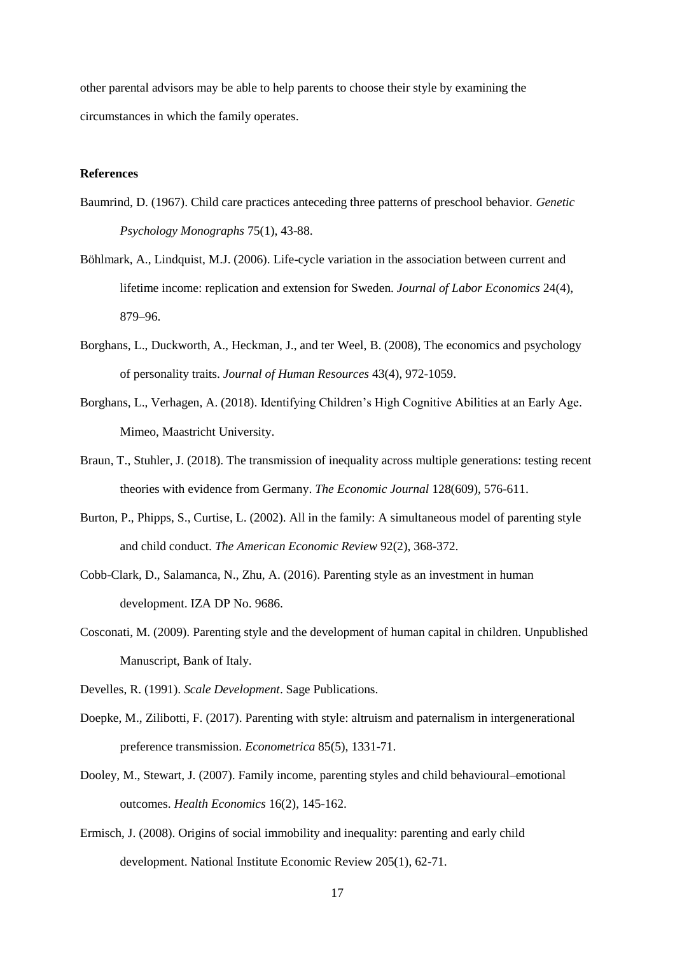other parental advisors may be able to help parents to choose their style by examining the circumstances in which the family operates.

## **References**

- Baumrind, D. (1967). Child care practices anteceding three patterns of preschool behavior. *Genetic Psychology Monographs* 75(1), 43-88.
- Böhlmark, A., Lindquist, M.J. (2006). Life-cycle variation in the association between current and lifetime income: replication and extension for Sweden. *Journal of Labor Economics* 24(4), 879–96.
- Borghans, L., Duckworth, A., Heckman, J., and ter Weel, B. (2008), The economics and psychology of personality traits. *Journal of Human Resources* 43(4), 972-1059.
- Borghans, L., Verhagen, A. (2018). Identifying Children's High Cognitive Abilities at an Early Age. Mimeo, Maastricht University.
- Braun, T., Stuhler, J. (2018). The transmission of inequality across multiple generations: testing recent theories with evidence from Germany. *The Economic Journal* 128(609), 576-611.
- Burton, P., Phipps, S., Curtise, L. (2002). All in the family: A simultaneous model of parenting style and child conduct. *The American Economic Review* 92(2), 368-372.
- Cobb-Clark, D., Salamanca, N., Zhu, A. (2016). Parenting style as an investment in human development. IZA DP No. 9686.
- Cosconati, M. (2009). Parenting style and the development of human capital in children. Unpublished Manuscript, Bank of Italy.
- Develles, R. (1991). *Scale Development*. Sage Publications.
- Doepke, M., Zilibotti, F. (2017). Parenting with style: altruism and paternalism in intergenerational preference transmission. *Econometrica* 85(5), 1331-71.
- Dooley, M., Stewart, J. (2007). Family income, parenting styles and child behavioural–emotional outcomes. *Health Economics* 16(2), 145-162.
- Ermisch, J. (2008). Origins of social immobility and inequality: parenting and early child development. National Institute Economic Review 205(1), 62-71.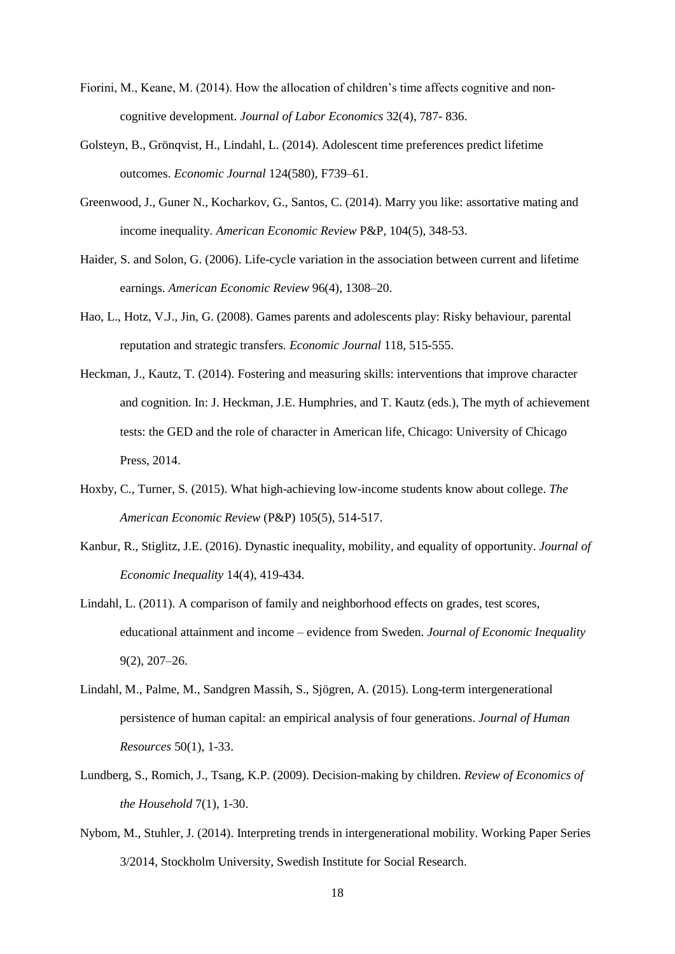- Fiorini, M., Keane, M. (2014). How the allocation of children's time affects cognitive and noncognitive development. *Journal of Labor Economics* 32(4), 787- 836.
- Golsteyn, B., Grönqvist, H., Lindahl, L. (2014). Adolescent time preferences predict lifetime outcomes. *Economic Journal* 124(580), F739–61.
- Greenwood, J., Guner N., Kocharkov, G., Santos, C. (2014). Marry you like: assortative mating and income inequality. *American Economic Review* P&P, 104(5), 348-53.
- Haider, S. and Solon, G. (2006). Life-cycle variation in the association between current and lifetime earnings. *American Economic Review* 96(4), 1308–20.
- Hao, L., Hotz, V.J., Jin, G. (2008). Games parents and adolescents play: Risky behaviour, parental reputation and strategic transfers. *Economic Journal* 118, 515-555.
- Heckman, J., Kautz, T. (2014). Fostering and measuring skills: interventions that improve character and cognition. In: J. Heckman, J.E. Humphries, and T. Kautz (eds.), The myth of achievement tests: the GED and the role of character in American life, Chicago: University of Chicago Press, 2014.
- Hoxby, C., Turner, S. (2015). What high-achieving low-income students know about college. *The American Economic Review* (P&P) 105(5), 514-517.
- Kanbur, R., Stiglitz, J.E. (2016). Dynastic inequality, mobility, and equality of opportunity. *Journal of Economic Inequality* 14(4), 419-434.
- Lindahl, L. (2011). A comparison of family and neighborhood effects on grades, test scores, educational attainment and income – evidence from Sweden. *Journal of Economic Inequality* 9(2), 207–26.
- Lindahl, M., Palme, M., Sandgren Massih, S., Sjögren, A. (2015). Long-term intergenerational persistence of human capital: an empirical analysis of four generations. *Journal of Human Resources* 50(1), 1-33.
- Lundberg, S., Romich, J., Tsang, K.P. (2009). Decision-making by children. *Review of Economics of the Household* 7(1), 1-30.
- Nybom, M., Stuhler, J. (2014). Interpreting trends in intergenerational mobility. Working Paper Series 3/2014, Stockholm University, Swedish Institute for Social Research.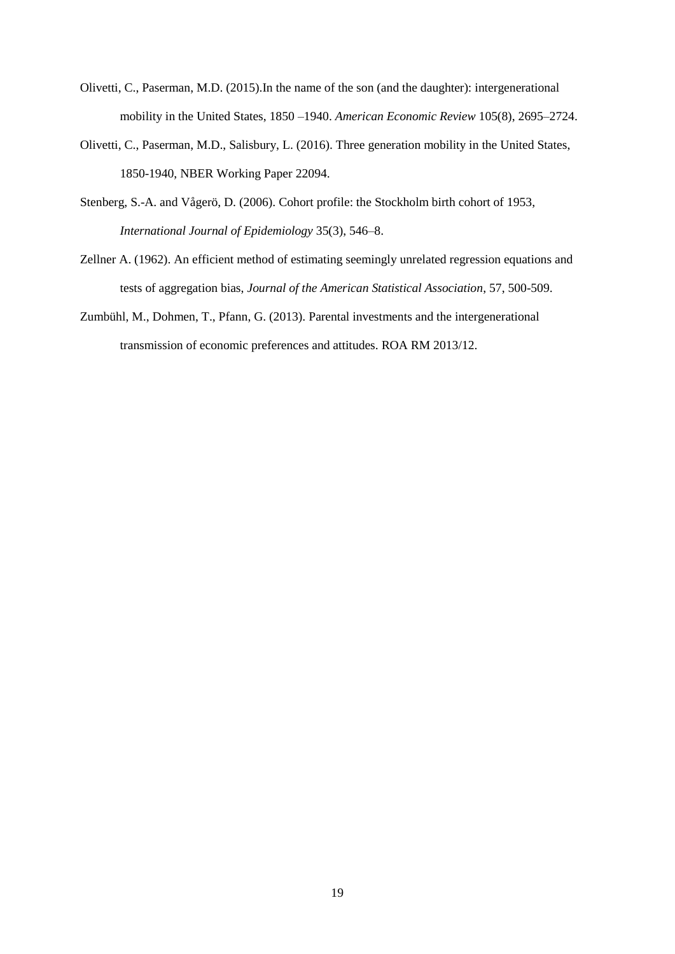- Olivetti, C., Paserman, M.D. (2015).In the name of the son (and the daughter): intergenerational mobility in the United States, 1850 –1940. *American Economic Review* 105(8), 2695–2724.
- Olivetti, C., Paserman, M.D., Salisbury, L. (2016). Three generation mobility in the United States, 1850-1940, NBER Working Paper 22094.
- Stenberg, S.-A. and Vågerö, D. (2006). Cohort profile: the Stockholm birth cohort of 1953, *International Journal of Epidemiology* 35(3), 546–8.
- Zellner A. (1962). An efficient method of estimating seemingly unrelated regression equations and tests of aggregation bias, *Journal of the American Statistical Association*, 57, 500-509.
- Zumbühl, M., Dohmen, T., Pfann, G. (2013). Parental investments and the intergenerational transmission of economic preferences and attitudes. ROA RM 2013/12.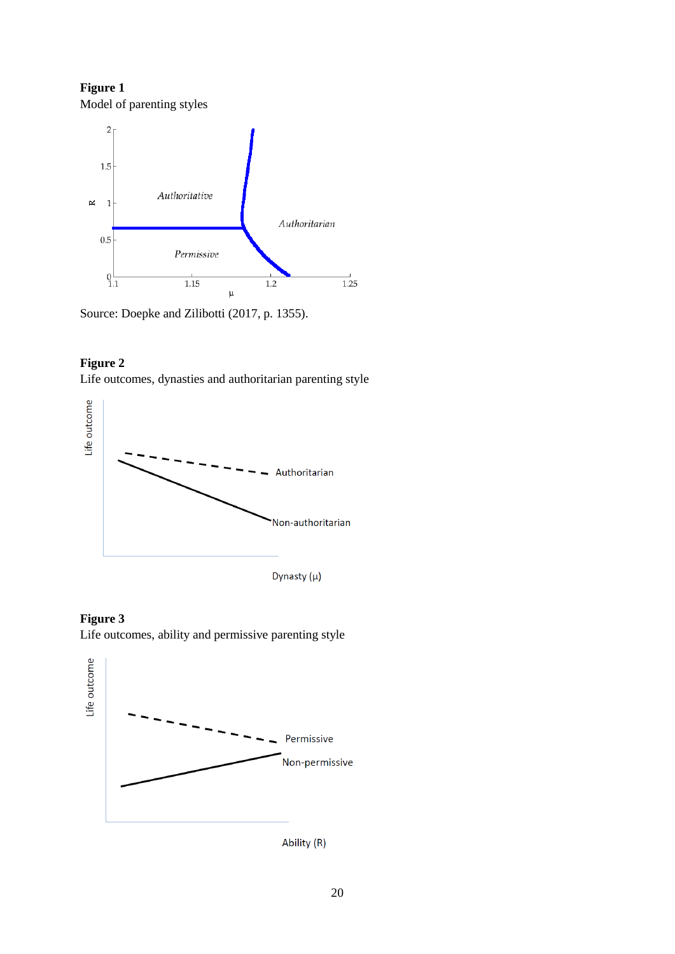**Figure 1** Model of parenting styles



Source: Doepke and Zilibotti (2017, p. 1355).

## **Figure 2**

Life outcomes, dynasties and authoritarian parenting style







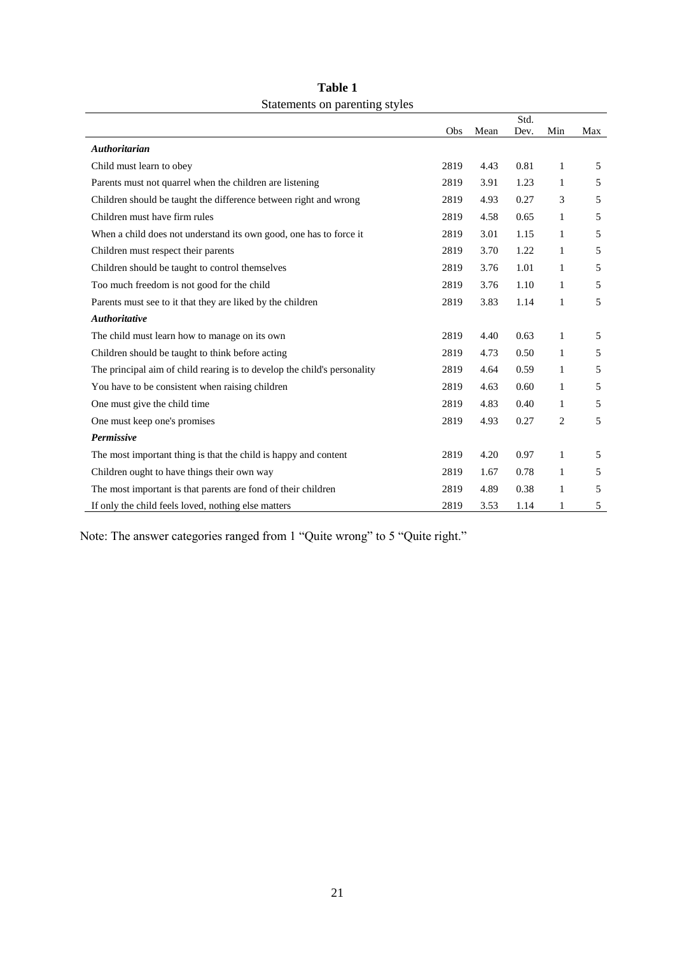|                                                                          |      |      | Std. |                |     |
|--------------------------------------------------------------------------|------|------|------|----------------|-----|
|                                                                          | Obs  | Mean | Dev. | Min            | Max |
| <b>Authoritarian</b>                                                     |      |      |      |                |     |
| Child must learn to obey                                                 | 2819 | 4.43 | 0.81 | 1              | 5   |
| Parents must not quarrel when the children are listening                 | 2819 | 3.91 | 1.23 | 1              | 5   |
| Children should be taught the difference between right and wrong         | 2819 | 4.93 | 0.27 | 3              | 5   |
| Children must have firm rules                                            | 2819 | 4.58 | 0.65 | 1              | 5   |
| When a child does not understand its own good, one has to force it       | 2819 | 3.01 | 1.15 | 1              | 5   |
| Children must respect their parents                                      | 2819 | 3.70 | 1.22 | $\mathbf{1}$   | 5   |
| Children should be taught to control themselves                          | 2819 | 3.76 | 1.01 | 1              | 5   |
| Too much freedom is not good for the child                               | 2819 | 3.76 | 1.10 | 1              | 5   |
| Parents must see to it that they are liked by the children               | 2819 | 3.83 | 1.14 | $\mathbf{1}$   | 5   |
| <b>Authoritative</b>                                                     |      |      |      |                |     |
| The child must learn how to manage on its own                            | 2819 | 4.40 | 0.63 | 1              | 5   |
| Children should be taught to think before acting                         | 2819 | 4.73 | 0.50 | $\mathbf{1}$   | 5   |
| The principal aim of child rearing is to develop the child's personality | 2819 | 4.64 | 0.59 | $\mathbf{1}$   | 5   |
| You have to be consistent when raising children                          | 2819 | 4.63 | 0.60 | 1              | 5   |
| One must give the child time                                             | 2819 | 4.83 | 0.40 | 1              | 5   |
| One must keep one's promises                                             | 2819 | 4.93 | 0.27 | $\overline{2}$ | 5   |
| Permissive                                                               |      |      |      |                |     |
| The most important thing is that the child is happy and content          | 2819 | 4.20 | 0.97 | 1              | 5   |
| Children ought to have things their own way                              | 2819 | 1.67 | 0.78 | 1              | 5   |
| The most important is that parents are fond of their children            | 2819 | 4.89 | 0.38 | 1              | 5   |
| If only the child feels loved, nothing else matters                      | 2819 | 3.53 | 1.14 | 1              | 5   |

**Table 1** Statements on parenting styles

Note: The answer categories ranged from 1 "Quite wrong" to 5 "Quite right."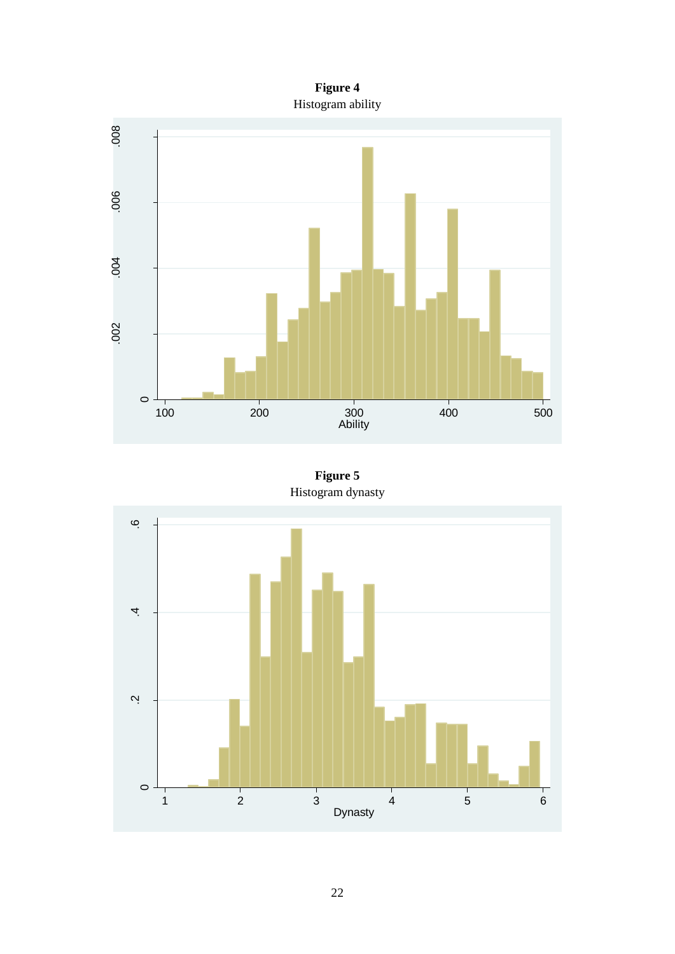



**Figure 5** Histogram dynasty

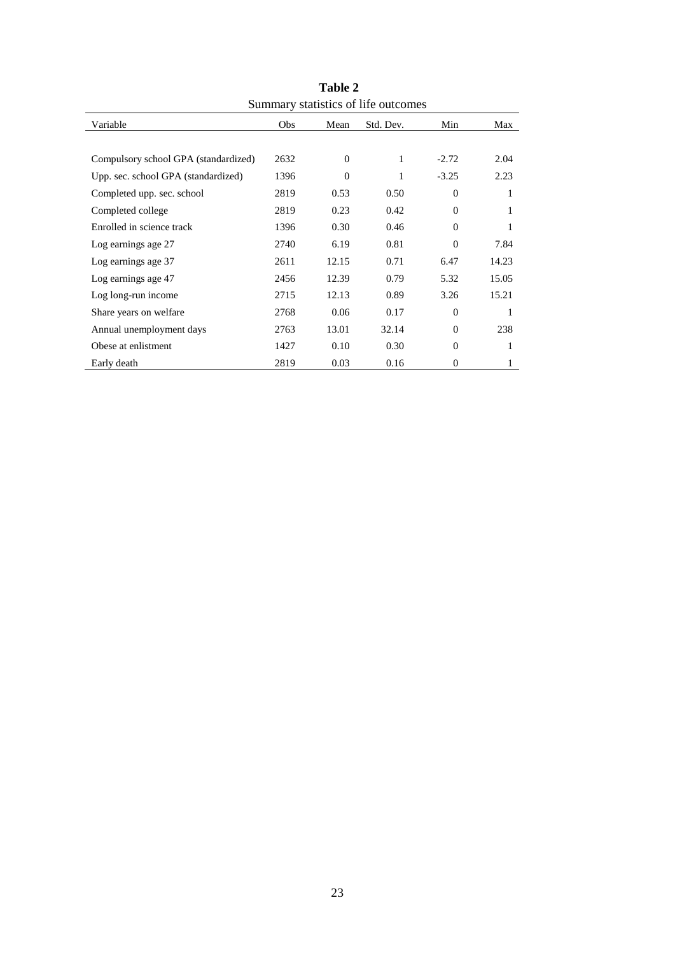| Summary statistics of the outcomes   |      |          |           |              |       |  |  |  |  |  |  |
|--------------------------------------|------|----------|-----------|--------------|-------|--|--|--|--|--|--|
| Variable                             | Obs  | Mean     | Std. Dev. | Min          | Max   |  |  |  |  |  |  |
|                                      |      |          |           |              |       |  |  |  |  |  |  |
| Compulsory school GPA (standardized) | 2632 | $\Omega$ | 1         | $-2.72$      | 2.04  |  |  |  |  |  |  |
| Upp. sec. school GPA (standardized)  | 1396 | $\Omega$ | 1         | $-3.25$      | 2.23  |  |  |  |  |  |  |
| Completed upp. sec. school           | 2819 | 0.53     | 0.50      | $\theta$     | 1     |  |  |  |  |  |  |
| Completed college                    | 2819 | 0.23     | 0.42      | $\mathbf{0}$ | 1     |  |  |  |  |  |  |
| Enrolled in science track            | 1396 | 0.30     | 0.46      | $\Omega$     | 1     |  |  |  |  |  |  |
| Log earnings age 27                  | 2740 | 6.19     | 0.81      | $\mathbf{0}$ | 7.84  |  |  |  |  |  |  |
| Log earnings age 37                  | 2611 | 12.15    | 0.71      | 6.47         | 14.23 |  |  |  |  |  |  |
| Log earnings age 47                  | 2456 | 12.39    | 0.79      | 5.32         | 15.05 |  |  |  |  |  |  |
| Log long-run income                  | 2715 | 12.13    | 0.89      | 3.26         | 15.21 |  |  |  |  |  |  |
| Share years on welfare               | 2768 | 0.06     | 0.17      | $\Omega$     | 1     |  |  |  |  |  |  |
| Annual unemployment days             | 2763 | 13.01    | 32.14     | $\mathbf{0}$ | 238   |  |  |  |  |  |  |
| Obese at enlistment                  | 1427 | 0.10     | 0.30      | $\mathbf{0}$ | 1     |  |  |  |  |  |  |
| Early death                          | 2819 | 0.03     | 0.16      | $\mathbf{0}$ | 1     |  |  |  |  |  |  |

**Table 2** Summary statistics of life outcomes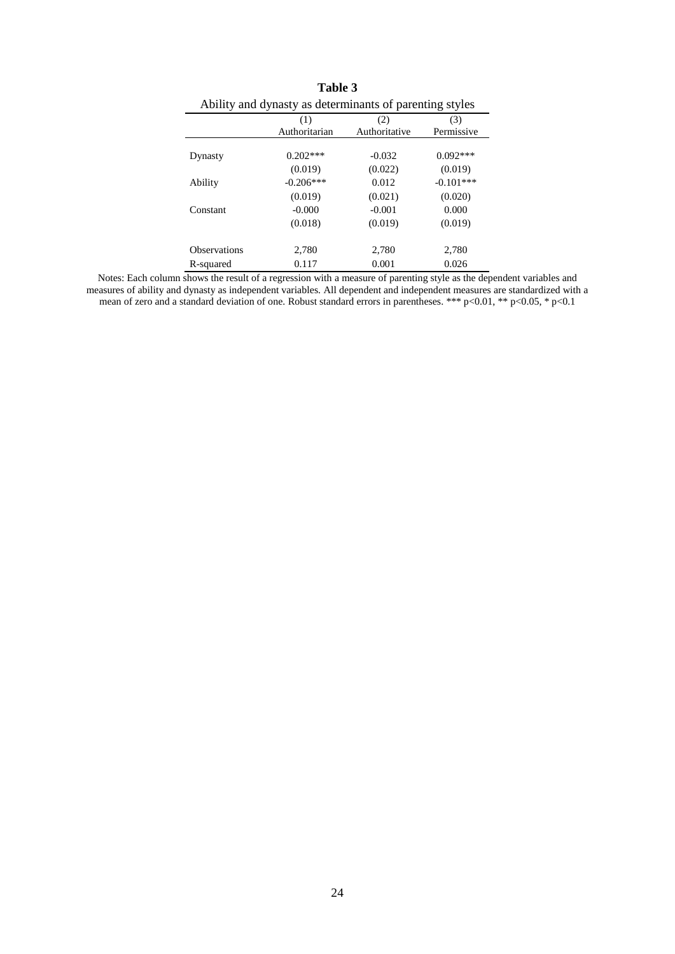| Table 3                                                 |               |               |             |  |  |  |  |  |  |  |
|---------------------------------------------------------|---------------|---------------|-------------|--|--|--|--|--|--|--|
| Ability and dynasty as determinants of parenting styles |               |               |             |  |  |  |  |  |  |  |
|                                                         | (1)           | (2)           | (3)         |  |  |  |  |  |  |  |
|                                                         | Authoritarian | Authoritative | Permissive  |  |  |  |  |  |  |  |
| Dynasty                                                 | $0.202***$    | $-0.032$      | $0.092***$  |  |  |  |  |  |  |  |
|                                                         | (0.019)       | (0.022)       | (0.019)     |  |  |  |  |  |  |  |
| Ability                                                 | $-0.206***$   | 0.012         | $-0.101***$ |  |  |  |  |  |  |  |
|                                                         | (0.019)       | (0.021)       | (0.020)     |  |  |  |  |  |  |  |
| Constant                                                | $-0.000$      | $-0.001$      | 0.000       |  |  |  |  |  |  |  |
|                                                         | (0.018)       | (0.019)       | (0.019)     |  |  |  |  |  |  |  |
| <b>Observations</b>                                     | 2,780         | 2,780         | 2,780       |  |  |  |  |  |  |  |
| R-squared                                               | 0.117         | 0.001         | 0.026       |  |  |  |  |  |  |  |

Notes: Each column shows the result of a regression with a measure of parenting style as the dependent variables and measures of ability and dynasty as independent variables. All dependent and independent measures are standardized with a

mean of zero and a standard deviation of one. Robust standard errors in parentheses. \*\*\* p<0.01, \*\* p<0.05, \* p<0.1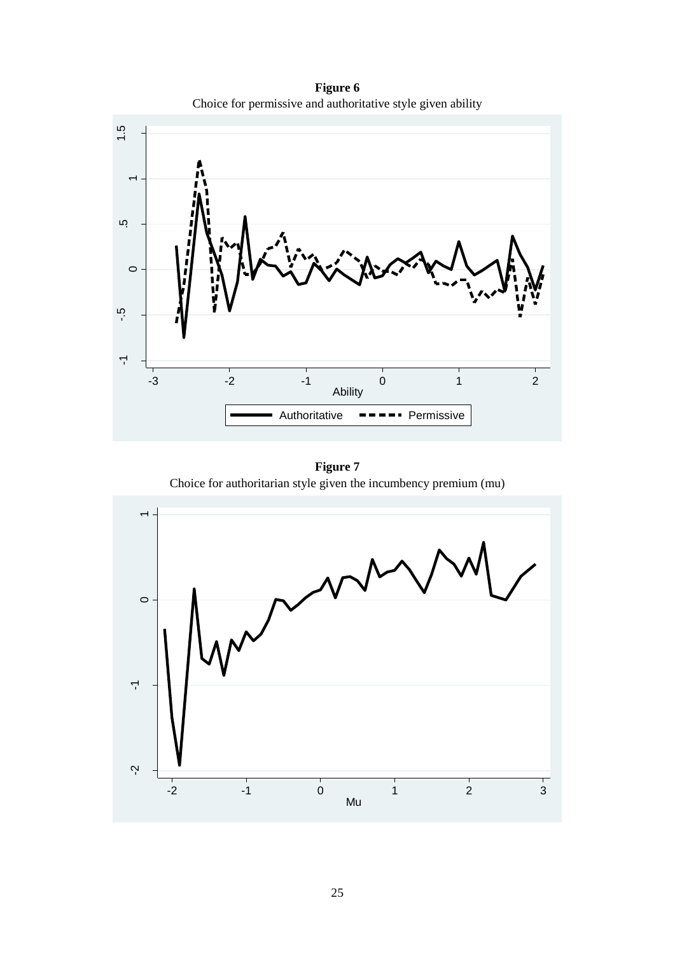**Figure 6** Choice for permissive and authoritative style given ability



**Figure 7** Choice for authoritarian style given the incumbency premium (mu)

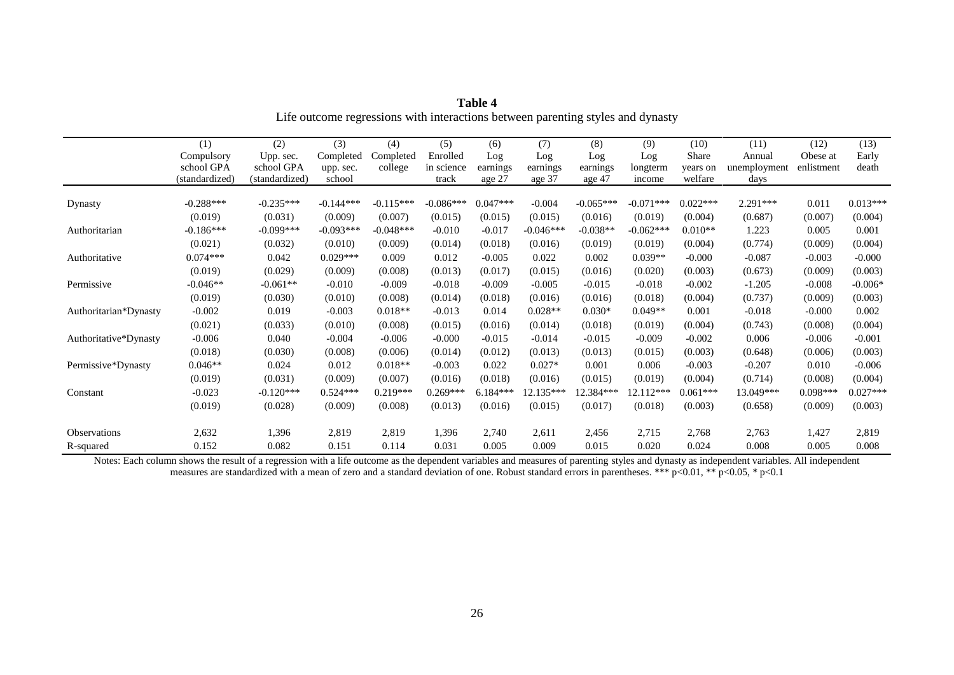|                       | (1)            | (2)            | (3)         | (4)         | (5)         | (6)        | (7)         | (8)         | (9)         | (10)       | (11)         | (12)       | (13)       |
|-----------------------|----------------|----------------|-------------|-------------|-------------|------------|-------------|-------------|-------------|------------|--------------|------------|------------|
|                       | Compulsory     | Upp. sec.      | Completed   | Completed   | Enrolled    | Log        | Log         | Log         | Log         | Share      | Annual       | Obese at   | Early      |
|                       | school GPA     | school GPA     | upp. sec.   | college     | in science  | earnings   | earnings    | earnings    | longterm    | years on   | unemployment | enlistment | death      |
|                       | (standardized) | (standardized) | school      |             | track       | age 27     | age 37      | age 47      | income      | welfare    | days         |            |            |
| Dynasty               | $-0.288***$    | $-0.235***$    | $-0.144***$ | $-0.115***$ | $-0.086***$ | $0.047***$ | $-0.004$    | $-0.065***$ | $-0.071***$ | $0.022***$ | $2.291***$   | 0.011      | $0.013***$ |
|                       | (0.019)        | (0.031)        | (0.009)     | (0.007)     | (0.015)     | (0.015)    | (0.015)     | (0.016)     | (0.019)     | (0.004)    | (0.687)      | (0.007)    | (0.004)    |
| Authoritarian         | $-0.186***$    | $-0.099***$    | $-0.093***$ | $-0.048***$ | $-0.010$    | $-0.017$   | $-0.046***$ | $-0.038**$  | $-0.062***$ | $0.010**$  | 1.223        | 0.005      | 0.001      |
|                       | (0.021)        | (0.032)        | (0.010)     | (0.009)     | (0.014)     | (0.018)    | (0.016)     | (0.019)     | (0.019)     | (0.004)    | (0.774)      | (0.009)    | (0.004)    |
| Authoritative         | $0.074***$     | 0.042          | $0.029***$  | 0.009       | 0.012       | $-0.005$   | 0.022       | 0.002       | $0.039**$   | $-0.000$   | $-0.087$     | $-0.003$   | $-0.000$   |
|                       | (0.019)        | (0.029)        | (0.009)     | (0.008)     | (0.013)     | (0.017)    | (0.015)     | (0.016)     | (0.020)     | (0.003)    | (0.673)      | (0.009)    | (0.003)    |
| Permissive            | $-0.046**$     | $-0.061**$     | $-0.010$    | $-0.009$    | $-0.018$    | $-0.009$   | $-0.005$    | $-0.015$    | $-0.018$    | $-0.002$   | $-1.205$     | $-0.008$   | $-0.006*$  |
|                       | (0.019)        | (0.030)        | (0.010)     | (0.008)     | (0.014)     | (0.018)    | (0.016)     | (0.016)     | (0.018)     | (0.004)    | (0.737)      | (0.009)    | (0.003)    |
| Authoritarian*Dynasty | $-0.002$       | 0.019          | $-0.003$    | $0.018**$   | $-0.013$    | 0.014      | $0.028**$   | $0.030*$    | $0.049**$   | 0.001      | $-0.018$     | $-0.000$   | 0.002      |
|                       | (0.021)        | (0.033)        | (0.010)     | (0.008)     | (0.015)     | (0.016)    | (0.014)     | (0.018)     | (0.019)     | (0.004)    | (0.743)      | (0.008)    | (0.004)    |
| Authoritative*Dynasty | $-0.006$       | 0.040          | $-0.004$    | $-0.006$    | $-0.000$    | $-0.015$   | $-0.014$    | $-0.015$    | $-0.009$    | $-0.002$   | 0.006        | $-0.006$   | $-0.001$   |
|                       | (0.018)        | (0.030)        | (0.008)     | (0.006)     | (0.014)     | (0.012)    | (0.013)     | (0.013)     | (0.015)     | (0.003)    | (0.648)      | (0.006)    | (0.003)    |
| Permissive*Dynasty    | $0.046**$      | 0.024          | 0.012       | $0.018**$   | $-0.003$    | 0.022      | $0.027*$    | 0.001       | 0.006       | $-0.003$   | $-0.207$     | 0.010      | $-0.006$   |
|                       | (0.019)        | (0.031)        | (0.009)     | (0.007)     | (0.016)     | (0.018)    | (0.016)     | (0.015)     | (0.019)     | (0.004)    | (0.714)      | (0.008)    | (0.004)    |
| Constant              | $-0.023$       | $-0.120***$    | $0.524***$  | $0.219***$  | $0.269***$  | $6.184***$ | 12.135***   | $12.384***$ | 12.112***   | $0.061***$ | 13.049***    | $0.098***$ | $0.027***$ |
|                       | (0.019)        | (0.028)        | (0.009)     | (0.008)     | (0.013)     | (0.016)    | (0.015)     | (0.017)     | (0.018)     | (0.003)    | (0.658)      | (0.009)    | (0.003)    |
| Observations          | 2,632          | 1,396          | 2,819       | 2,819       | 1,396       | 2,740      | 2,611       | 2,456       | 2,715       | 2,768      | 2,763        | 1,427      | 2,819      |
| R-squared             | 0.152          | 0.082          | 0.151       | 0.114       | 0.031       | 0.005      | 0.009       | 0.015       | 0.020       | 0.024      | 0.008        | 0.005      | 0.008      |

| Table 4                                                                         |
|---------------------------------------------------------------------------------|
| Life outcome regressions with interactions between parenting styles and dynasty |

Notes: Each column shows the result of a regression with a life outcome as the dependent variables and measures of parenting styles and dynasty as independent variables. All independent

measures are standardized with a mean of zero and a standard deviation of one. Robust standard errors in parentheses. \*\*\* p<0.01, \*\* p<0.05, \* p<0.1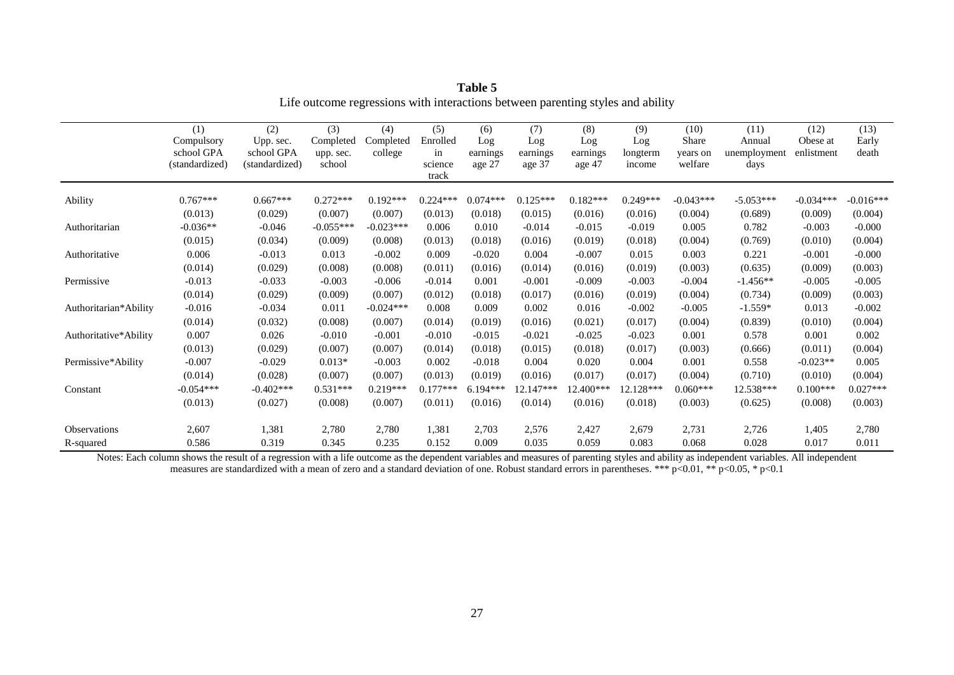|                       | (1)            | (2)            | (3)         | (4)         | (5)        | (6)        | (7)         | (8)        | (9)        | (10)        | (11)         | (12)        | (13)        |
|-----------------------|----------------|----------------|-------------|-------------|------------|------------|-------------|------------|------------|-------------|--------------|-------------|-------------|
|                       | Compulsory     | Upp. sec.      | Completed   | Completed   | Enrolled   | Log        | Log         | Log        | Log        | Share       | Annual       | Obese at    | Early       |
|                       | school GPA     | school GPA     | upp. sec.   | college     | in         | earnings   | earnings    | earnings   | longterm   | years on    | unemployment | enlistment  | death       |
|                       | (standardized) | (standardized) | school      |             | science    | age 27     | age 37      | age 47     | income     | welfare     | days         |             |             |
|                       |                |                |             |             | track      |            |             |            |            |             |              |             |             |
| Ability               | $0.767***$     | $0.667***$     | $0.272***$  | $0.192***$  | $0.224***$ | $0.074***$ | $0.125***$  | $0.182***$ | $0.249***$ | $-0.043***$ | $-5.053***$  | $-0.034***$ | $-0.016***$ |
|                       | (0.013)        | (0.029)        | (0.007)     | (0.007)     | (0.013)    | (0.018)    | (0.015)     | (0.016)    | (0.016)    | (0.004)     | (0.689)      | (0.009)     | (0.004)     |
| Authoritarian         | $-0.036**$     | $-0.046$       | $-0.055***$ | $-0.023***$ | 0.006      | 0.010      | $-0.014$    | $-0.015$   | $-0.019$   | 0.005       | 0.782        | $-0.003$    | $-0.000$    |
|                       | (0.015)        | (0.034)        | (0.009)     | (0.008)     | (0.013)    | (0.018)    | (0.016)     | (0.019)    | (0.018)    | (0.004)     | (0.769)      | (0.010)     | (0.004)     |
| Authoritative         | 0.006          | $-0.013$       | 0.013       | $-0.002$    | 0.009      | $-0.020$   | 0.004       | $-0.007$   | 0.015      | 0.003       | 0.221        | $-0.001$    | $-0.000$    |
|                       | (0.014)        | (0.029)        | (0.008)     | (0.008)     | (0.011)    | (0.016)    | (0.014)     | (0.016)    | (0.019)    | (0.003)     | (0.635)      | (0.009)     | (0.003)     |
| Permissive            | $-0.013$       | $-0.033$       | $-0.003$    | $-0.006$    | $-0.014$   | 0.001      | $-0.001$    | $-0.009$   | $-0.003$   | $-0.004$    | $-1.456**$   | $-0.005$    | $-0.005$    |
|                       | (0.014)        | (0.029)        | (0.009)     | (0.007)     | (0.012)    | (0.018)    | (0.017)     | (0.016)    | (0.019)    | (0.004)     | (0.734)      | (0.009)     | (0.003)     |
| Authoritarian*Ability | $-0.016$       | $-0.034$       | 0.011       | $-0.024***$ | 0.008      | 0.009      | 0.002       | 0.016      | $-0.002$   | $-0.005$    | $-1.559*$    | 0.013       | $-0.002$    |
|                       | (0.014)        | (0.032)        | (0.008)     | (0.007)     | (0.014)    | (0.019)    | (0.016)     | (0.021)    | (0.017)    | (0.004)     | (0.839)      | (0.010)     | (0.004)     |
| Authoritative*Ability | 0.007          | 0.026          | $-0.010$    | $-0.001$    | $-0.010$   | $-0.015$   | $-0.021$    | $-0.025$   | $-0.023$   | 0.001       | 0.578        | 0.001       | 0.002       |
|                       | (0.013)        | (0.029)        | (0.007)     | (0.007)     | (0.014)    | (0.018)    | (0.015)     | (0.018)    | (0.017)    | (0.003)     | (0.666)      | (0.011)     | (0.004)     |
| Permissive*Ability    | $-0.007$       | $-0.029$       | $0.013*$    | $-0.003$    | 0.002      | $-0.018$   | 0.004       | 0.020      | 0.004      | 0.001       | 0.558        | $-0.023**$  | 0.005       |
|                       | (0.014)        | (0.028)        | (0.007)     | (0.007)     | (0.013)    | (0.019)    | (0.016)     | (0.017)    | (0.017)    | (0.004)     | (0.710)      | (0.010)     | (0.004)     |
| Constant              | $-0.054***$    | $-0.402***$    | $0.531***$  | $0.219***$  | $0.177***$ | $6.194***$ | $12.147***$ | 12.400***  | 12.128***  | $0.060***$  | 12.538***    | $0.100***$  | $0.027***$  |
|                       | (0.013)        | (0.027)        | (0.008)     | (0.007)     | (0.011)    | (0.016)    | (0.014)     | (0.016)    | (0.018)    | (0.003)     | (0.625)      | (0.008)     | (0.003)     |
| Observations          | 2,607          | 1,381          | 2,780       | 2,780       | 1,381      | 2,703      | 2,576       | 2,427      | 2,679      | 2,731       | 2,726        | 1,405       | 2,780       |
| R-squared             | 0.586          | 0.319          | 0.345       | 0.235       | 0.152      | 0.009      | 0.035       | 0.059      | 0.083      | 0.068       | 0.028        | 0.017       | 0.011       |

**Table 5** Life outcome regressions with interactions between parenting styles and ability

Notes: Each column shows the result of a regression with a life outcome as the dependent variables and measures of parenting styles and ability as independent variables. All independent measures are standardized with a mean of zero and a standard deviation of one. Robust standard errors in parentheses. \*\*\* p<0.01, \*\* p<0.05, \* p<0.1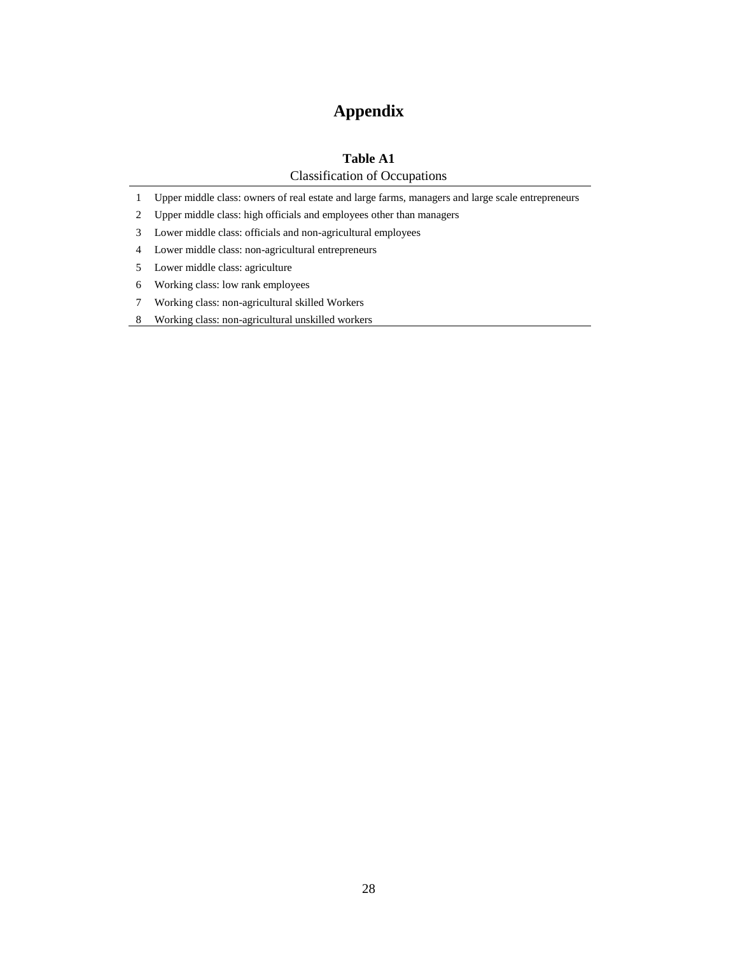# **Appendix**

## **Table A1**

Classification of Occupations

- Upper middle class: owners of real estate and large farms, managers and large scale entrepreneurs
- Upper middle class: high officials and employees other than managers
- Lower middle class: officials and non-agricultural employees
- Lower middle class: non-agricultural entrepreneurs
- Lower middle class: agriculture
- Working class: low rank employees
- Working class: non-agricultural skilled Workers
- Working class: non-agricultural unskilled workers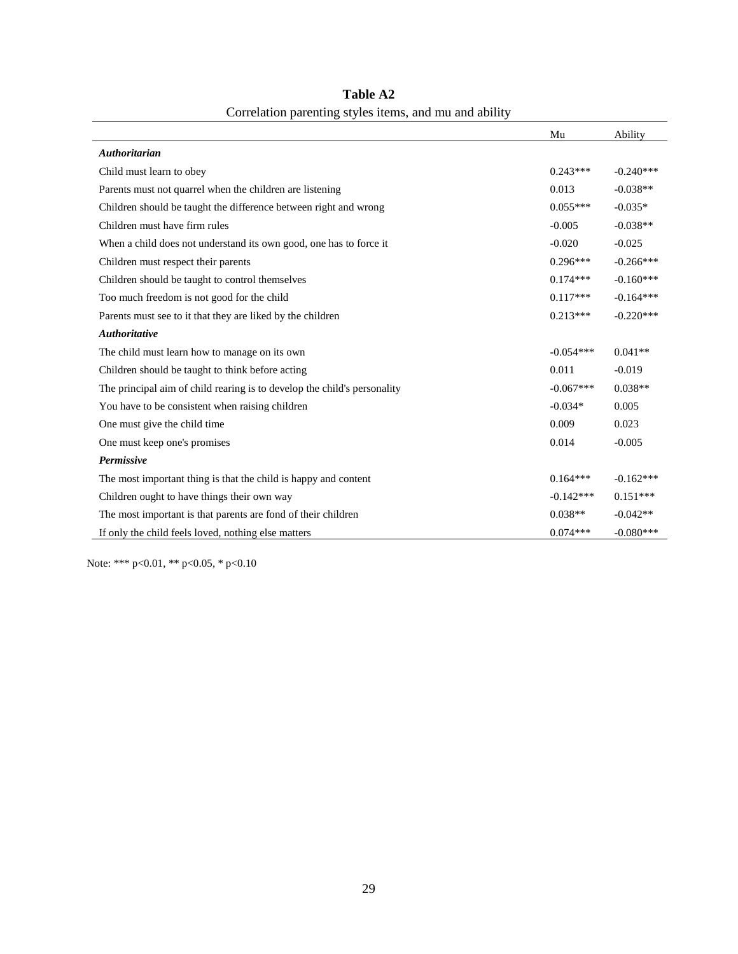|                                                                          | Mu          | Ability     |
|--------------------------------------------------------------------------|-------------|-------------|
| <b>Authoritarian</b>                                                     |             |             |
| Child must learn to obey                                                 | $0.243***$  | $-0.240***$ |
| Parents must not quarrel when the children are listening                 | 0.013       | $-0.038**$  |
| Children should be taught the difference between right and wrong         | $0.055***$  | $-0.035*$   |
| Children must have firm rules                                            | $-0.005$    | $-0.038**$  |
| When a child does not understand its own good, one has to force it       | $-0.020$    | $-0.025$    |
| Children must respect their parents                                      | $0.296***$  | $-0.266***$ |
| Children should be taught to control themselves                          | $0.174***$  | $-0.160***$ |
| Too much freedom is not good for the child                               | $0.117***$  | $-0.164***$ |
| Parents must see to it that they are liked by the children               | $0.213***$  | $-0.220***$ |
| <b>Authoritative</b>                                                     |             |             |
| The child must learn how to manage on its own                            | $-0.054***$ | $0.041**$   |
| Children should be taught to think before acting                         | 0.011       | $-0.019$    |
| The principal aim of child rearing is to develop the child's personality | $-0.067***$ | $0.038**$   |
| You have to be consistent when raising children                          | $-0.034*$   | 0.005       |
| One must give the child time.                                            | 0.009       | 0.023       |
| One must keep one's promises                                             | 0.014       | $-0.005$    |
| Permissive                                                               |             |             |
| The most important thing is that the child is happy and content          | $0.164***$  | $-0.162***$ |
| Children ought to have things their own way                              | $-0.142***$ | $0.151***$  |
| The most important is that parents are fond of their children            | $0.038**$   | $-0.042**$  |
| If only the child feels loved, nothing else matters                      | $0.074***$  | $-0.080***$ |

**Table A2** Correlation parenting styles items, and mu and ability

Note: \*\*\* p<0.01, \*\* p<0.05, \* p<0.10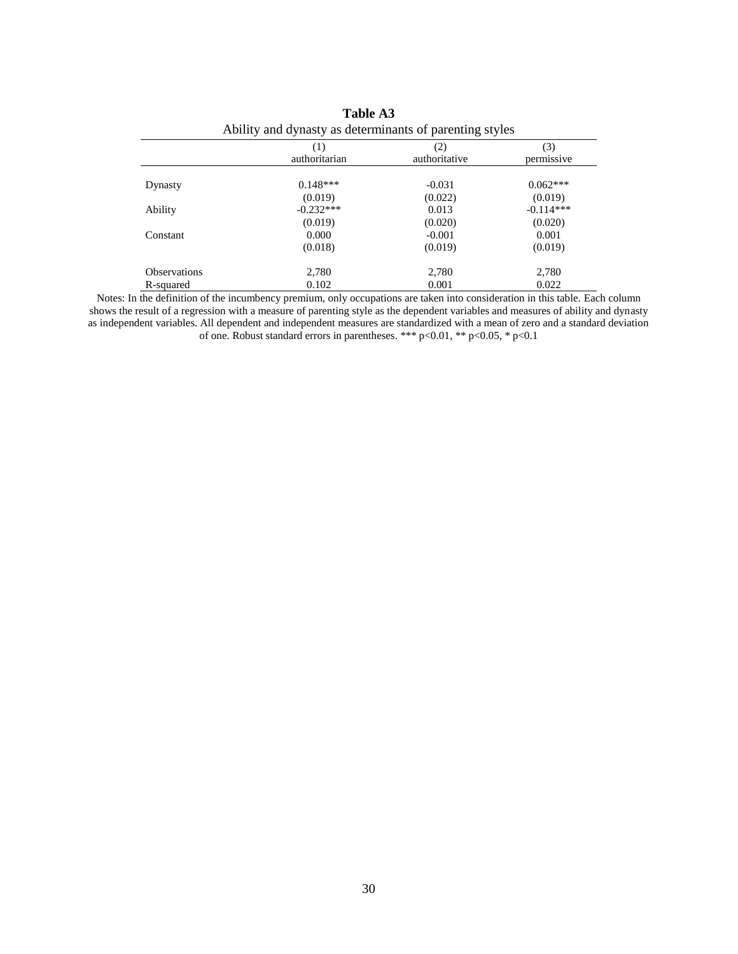| Trointy and a filling as determinants of parenting styles |                      |                      |                   |  |  |  |  |  |  |  |
|-----------------------------------------------------------|----------------------|----------------------|-------------------|--|--|--|--|--|--|--|
|                                                           | (1)<br>authoritarian | (2)<br>authoritative | (3)<br>permissive |  |  |  |  |  |  |  |
| Dynasty                                                   | $0.148***$           | $-0.031$             | $0.062***$        |  |  |  |  |  |  |  |
|                                                           | (0.019)              | (0.022)              | (0.019)           |  |  |  |  |  |  |  |
| <b>Ability</b>                                            | $-0.232***$          | 0.013                | $-0.114***$       |  |  |  |  |  |  |  |
|                                                           | (0.019)              | (0.020)              | (0.020)           |  |  |  |  |  |  |  |
| Constant                                                  | 0.000                | $-0.001$             | 0.001             |  |  |  |  |  |  |  |
|                                                           | (0.018)              | (0.019)              | (0.019)           |  |  |  |  |  |  |  |
| <b>Observations</b>                                       | 2,780                | 2,780                | 2,780             |  |  |  |  |  |  |  |
| R-squared                                                 | 0.102                | 0.001                | 0.022             |  |  |  |  |  |  |  |

| Table A3                                                |  |
|---------------------------------------------------------|--|
| Ability and dynasty as determinants of parenting styles |  |

Notes: In the definition of the incumbency premium, only occupations are taken into consideration in this table. Each column shows the result of a regression with a measure of parenting style as the dependent variables and measures of ability and dynasty as independent variables. All dependent and independent measures are standardized with a mean of zero and a standard deviation of one. Robust standard errors in parentheses. \*\*\* p<0.01, \*\* p<0.05, \* p<0.1